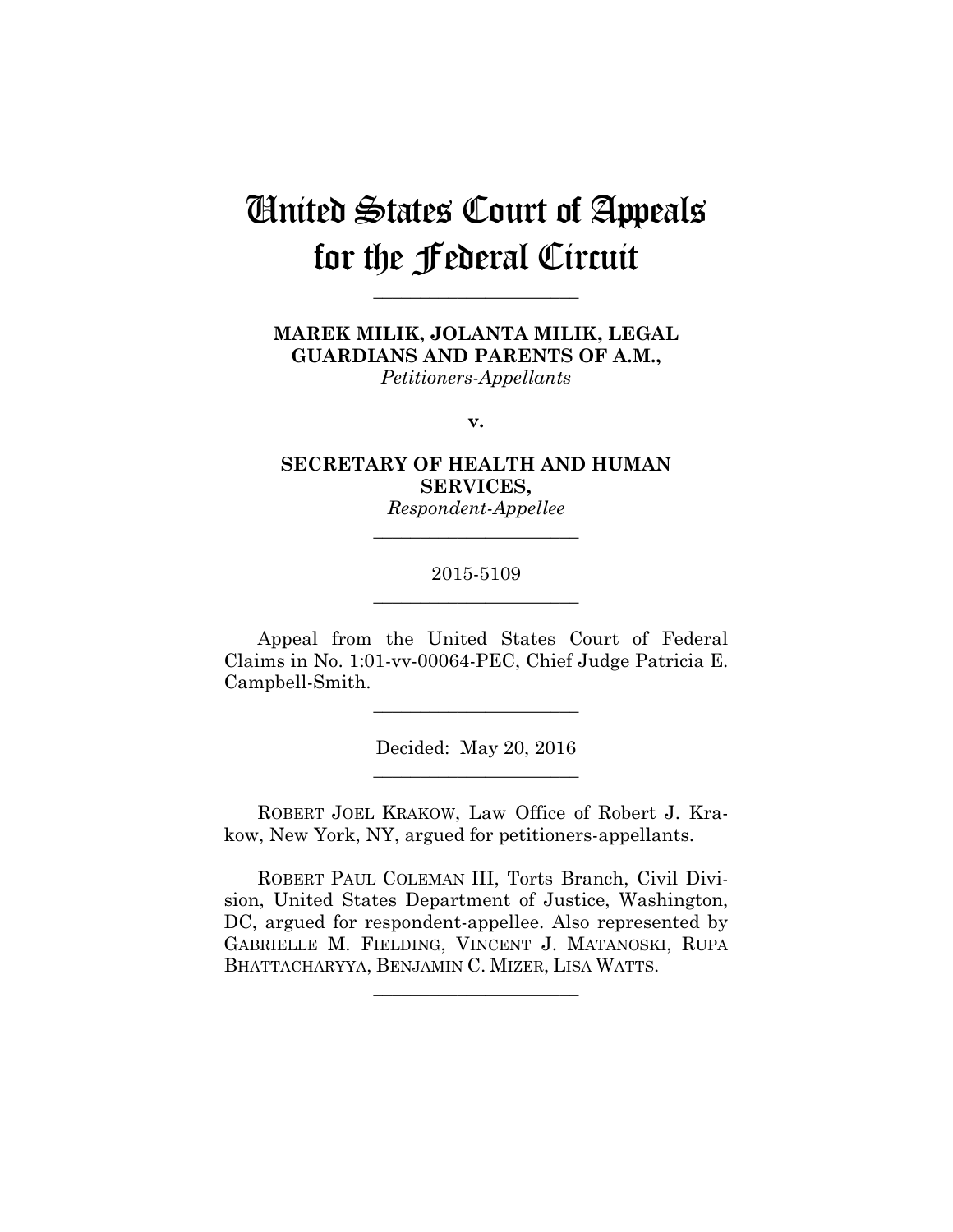# United States Court of Appeals for the Federal Circuit

**\_\_\_\_\_\_\_\_\_\_\_\_\_\_\_\_\_\_\_\_\_\_** 

**MAREK MILIK, JOLANTA MILIK, LEGAL GUARDIANS AND PARENTS OF A.M.,** *Petitioners-Appellants*

**v.**

**SECRETARY OF HEALTH AND HUMAN SERVICES,**

*Respondent-Appellee* **\_\_\_\_\_\_\_\_\_\_\_\_\_\_\_\_\_\_\_\_\_\_** 

## 2015-5109 **\_\_\_\_\_\_\_\_\_\_\_\_\_\_\_\_\_\_\_\_\_\_**

Appeal from the United States Court of Federal Claims in No. 1:01-vv-00064-PEC, Chief Judge Patricia E. Campbell-Smith.

**\_\_\_\_\_\_\_\_\_\_\_\_\_\_\_\_\_\_\_\_\_\_** 

Decided: May 20, 2016 **\_\_\_\_\_\_\_\_\_\_\_\_\_\_\_\_\_\_\_\_\_\_** 

ROBERT JOEL KRAKOW, Law Office of Robert J. Krakow, New York, NY, argued for petitioners-appellants.

ROBERT PAUL COLEMAN III, Torts Branch, Civil Division, United States Department of Justice, Washington, DC, argued for respondent-appellee. Also represented by GABRIELLE M. FIELDING, VINCENT J. MATANOSKI, RUPA BHATTACHARYYA, BENJAMIN C. MIZER, LISA WATTS.

**\_\_\_\_\_\_\_\_\_\_\_\_\_\_\_\_\_\_\_\_\_\_**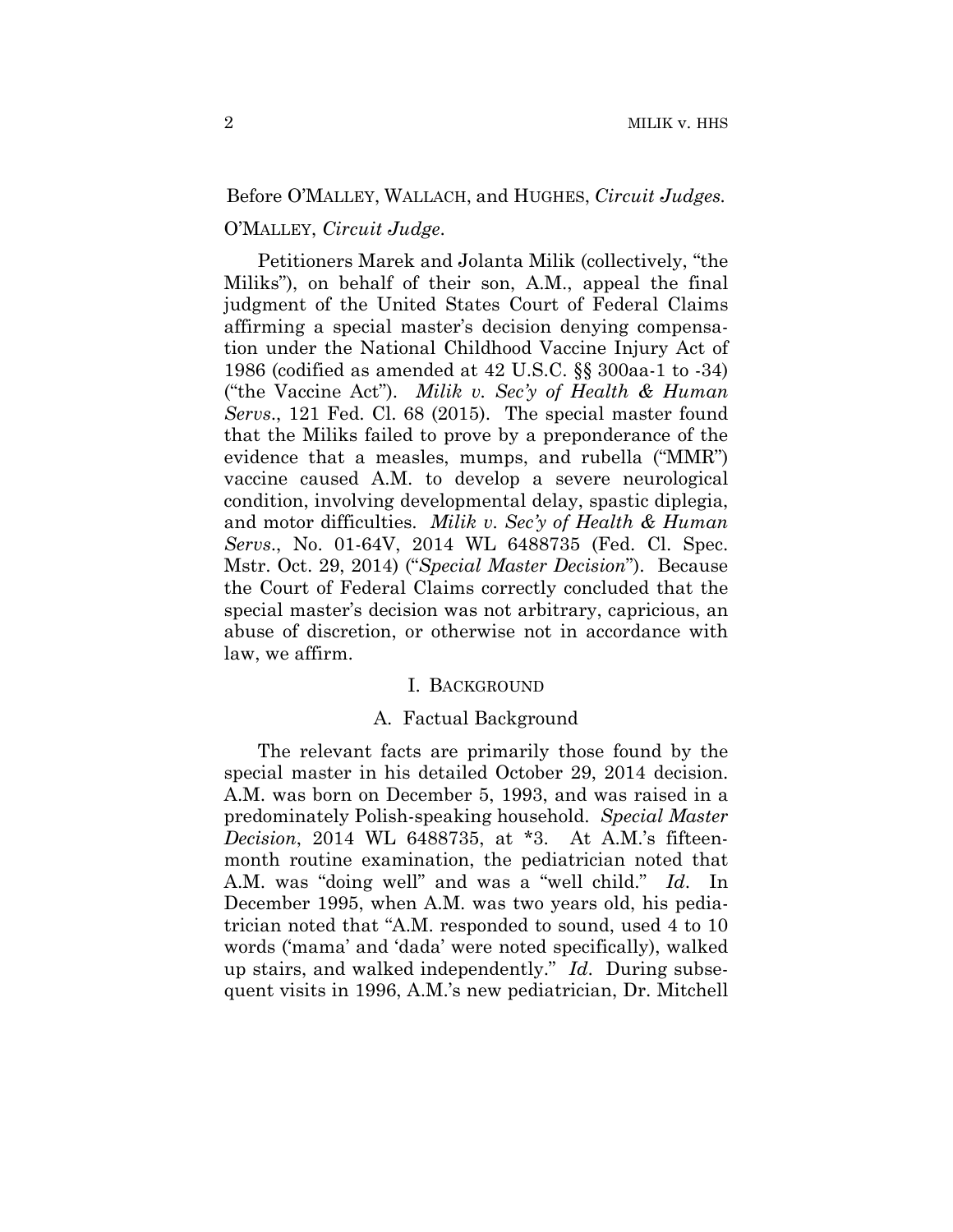## Before O'MALLEY, WALLACH, and HUGHES, *Circuit Judges.*

## O'MALLEY, *Circuit Judge*.

 Petitioners Marek and Jolanta Milik (collectively, "the Miliks"), on behalf of their son, A.M., appeal the final judgment of the United States Court of Federal Claims affirming a special master's decision denying compensation under the National Childhood Vaccine Injury Act of 1986 (codified as amended at 42 U.S.C. §§ 300aa-1 to -34) ("the Vaccine Act"). *Milik v. Sec'y of Health & Human Servs*., 121 Fed. Cl. 68 (2015). The special master found that the Miliks failed to prove by a preponderance of the evidence that a measles, mumps, and rubella ("MMR") vaccine caused A.M. to develop a severe neurological condition, involving developmental delay, spastic diplegia, and motor difficulties. *Milik v. Sec'y of Health & Human Servs*., No. 01-64V, 2014 WL 6488735 (Fed. Cl. Spec. Mstr. Oct. 29, 2014) ("*Special Master Decision*"). Because the Court of Federal Claims correctly concluded that the special master's decision was not arbitrary, capricious, an abuse of discretion, or otherwise not in accordance with law, we affirm.

## I. BACKGROUND

## A. Factual Background

The relevant facts are primarily those found by the special master in his detailed October 29, 2014 decision. A.M. was born on December 5, 1993, and was raised in a predominately Polish-speaking household. *Special Master Decision*, 2014 WL 6488735, at \*3. At A.M.'s fifteenmonth routine examination, the pediatrician noted that A.M. was "doing well" and was a "well child." *Id*. In December 1995, when A.M. was two years old, his pediatrician noted that "A.M. responded to sound, used 4 to 10 words ('mama' and 'dada' were noted specifically), walked up stairs, and walked independently." *Id*. During subsequent visits in 1996, A.M.'s new pediatrician, Dr. Mitchell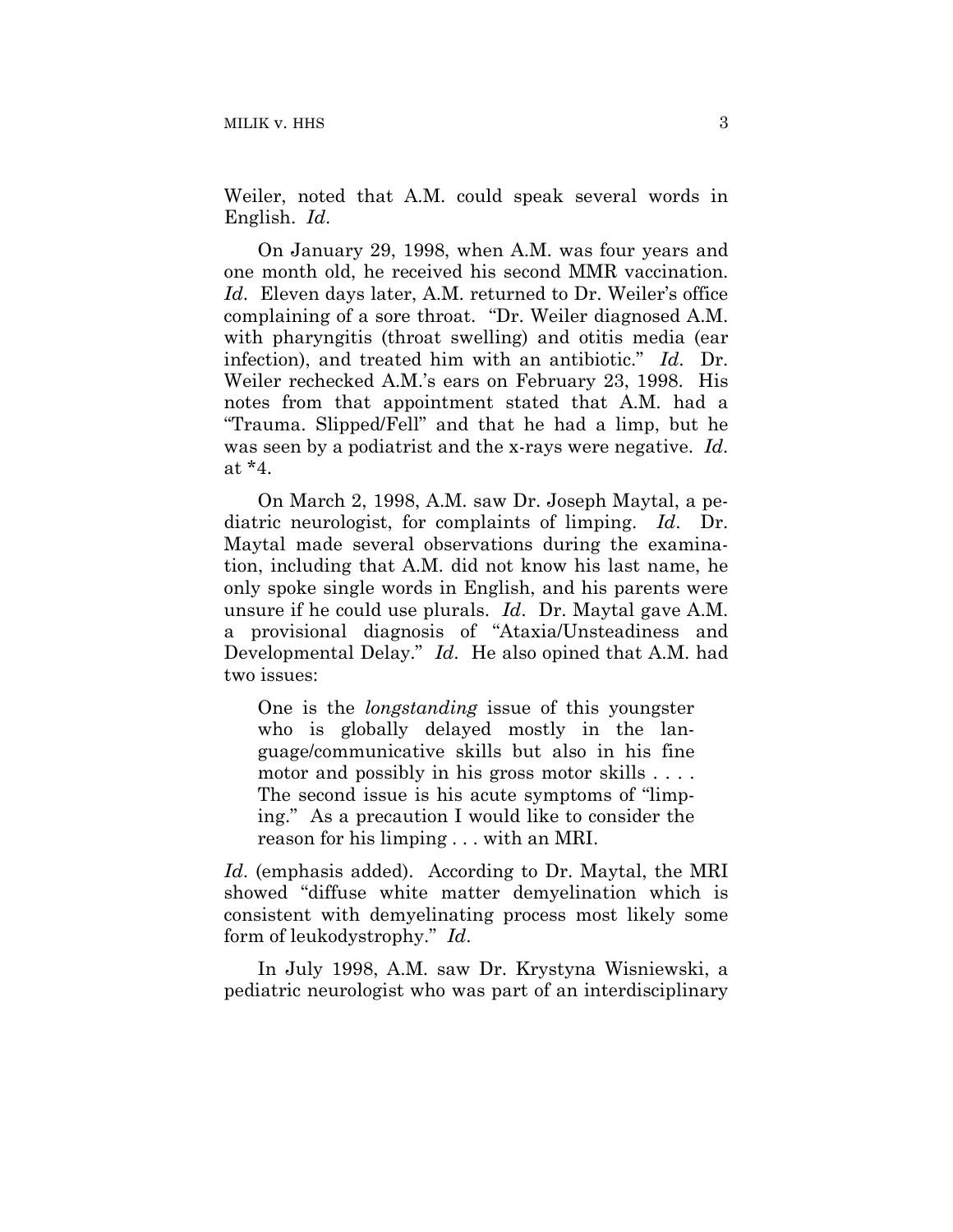Weiler, noted that A.M. could speak several words in English. *Id*.

On January 29, 1998, when A.M. was four years and one month old, he received his second MMR vaccination. *Id*. Eleven days later, A.M. returned to Dr. Weiler's office complaining of a sore throat. "Dr. Weiler diagnosed A.M. with pharyngitis (throat swelling) and otitis media (ear infection), and treated him with an antibiotic." *Id*. Dr. Weiler rechecked A.M.'s ears on February 23, 1998. His notes from that appointment stated that A.M. had a "Trauma. Slipped/Fell" and that he had a limp, but he was seen by a podiatrist and the x-rays were negative. *Id*. at \*4.

On March 2, 1998, A.M. saw Dr. Joseph Maytal, a pediatric neurologist, for complaints of limping. *Id*. Dr. Maytal made several observations during the examination, including that A.M. did not know his last name, he only spoke single words in English, and his parents were unsure if he could use plurals. *Id*. Dr. Maytal gave A.M. a provisional diagnosis of "Ataxia/Unsteadiness and Developmental Delay." *Id*. He also opined that A.M. had two issues:

One is the *longstanding* issue of this youngster who is globally delayed mostly in the language/communicative skills but also in his fine motor and possibly in his gross motor skills . . . . The second issue is his acute symptoms of "limping." As a precaution I would like to consider the reason for his limping . . . with an MRI.

*Id*. (emphasis added). According to Dr. Maytal, the MRI showed "diffuse white matter demyelination which is consistent with demyelinating process most likely some form of leukodystrophy." *Id*.

In July 1998, A.M. saw Dr. Krystyna Wisniewski, a pediatric neurologist who was part of an interdisciplinary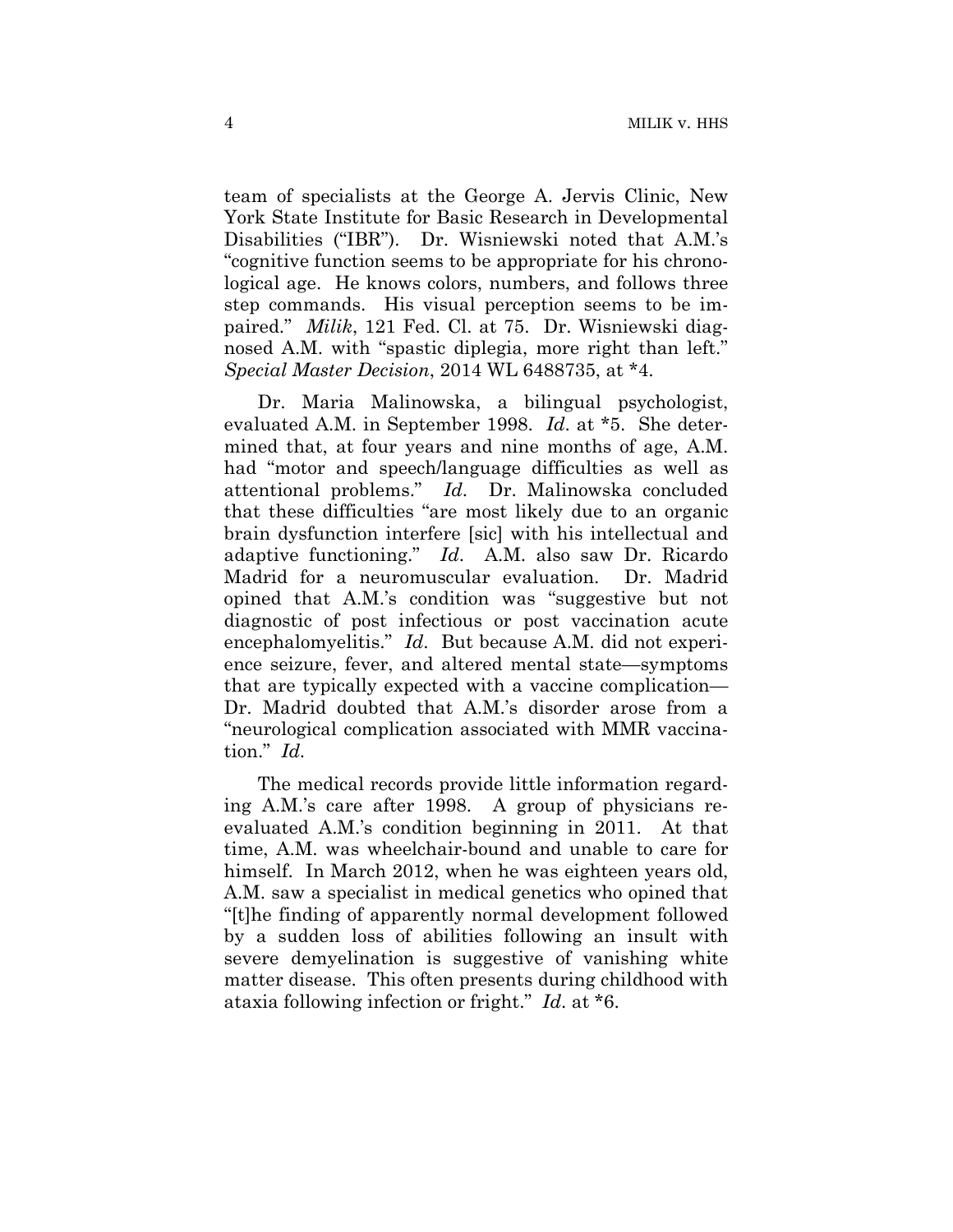team of specialists at the George A. Jervis Clinic, New York State Institute for Basic Research in Developmental Disabilities ("IBR"). Dr. Wisniewski noted that A.M.'s "cognitive function seems to be appropriate for his chronological age. He knows colors, numbers, and follows three step commands. His visual perception seems to be impaired." *Milik*, 121 Fed. Cl. at 75. Dr. Wisniewski diagnosed A.M. with "spastic diplegia, more right than left." *Special Master Decision*, 2014 WL 6488735, at \*4.

Dr. Maria Malinowska, a bilingual psychologist, evaluated A.M. in September 1998. *Id*. at \*5. She determined that, at four years and nine months of age, A.M. had "motor and speech/language difficulties as well as attentional problems." *Id*. Dr. Malinowska concluded that these difficulties "are most likely due to an organic brain dysfunction interfere [sic] with his intellectual and adaptive functioning." *Id*. A.M. also saw Dr. Ricardo Madrid for a neuromuscular evaluation. Dr. Madrid opined that A.M.'s condition was "suggestive but not diagnostic of post infectious or post vaccination acute encephalomyelitis." *Id*. But because A.M. did not experience seizure, fever, and altered mental state—symptoms that are typically expected with a vaccine complication— Dr. Madrid doubted that A.M.'s disorder arose from a "neurological complication associated with MMR vaccination." *Id*.

The medical records provide little information regarding A.M.'s care after 1998. A group of physicians reevaluated A.M.'s condition beginning in 2011. At that time, A.M. was wheelchair-bound and unable to care for himself. In March 2012, when he was eighteen years old, A.M. saw a specialist in medical genetics who opined that "[t]he finding of apparently normal development followed by a sudden loss of abilities following an insult with severe demyelination is suggestive of vanishing white matter disease. This often presents during childhood with ataxia following infection or fright." *Id*. at \*6.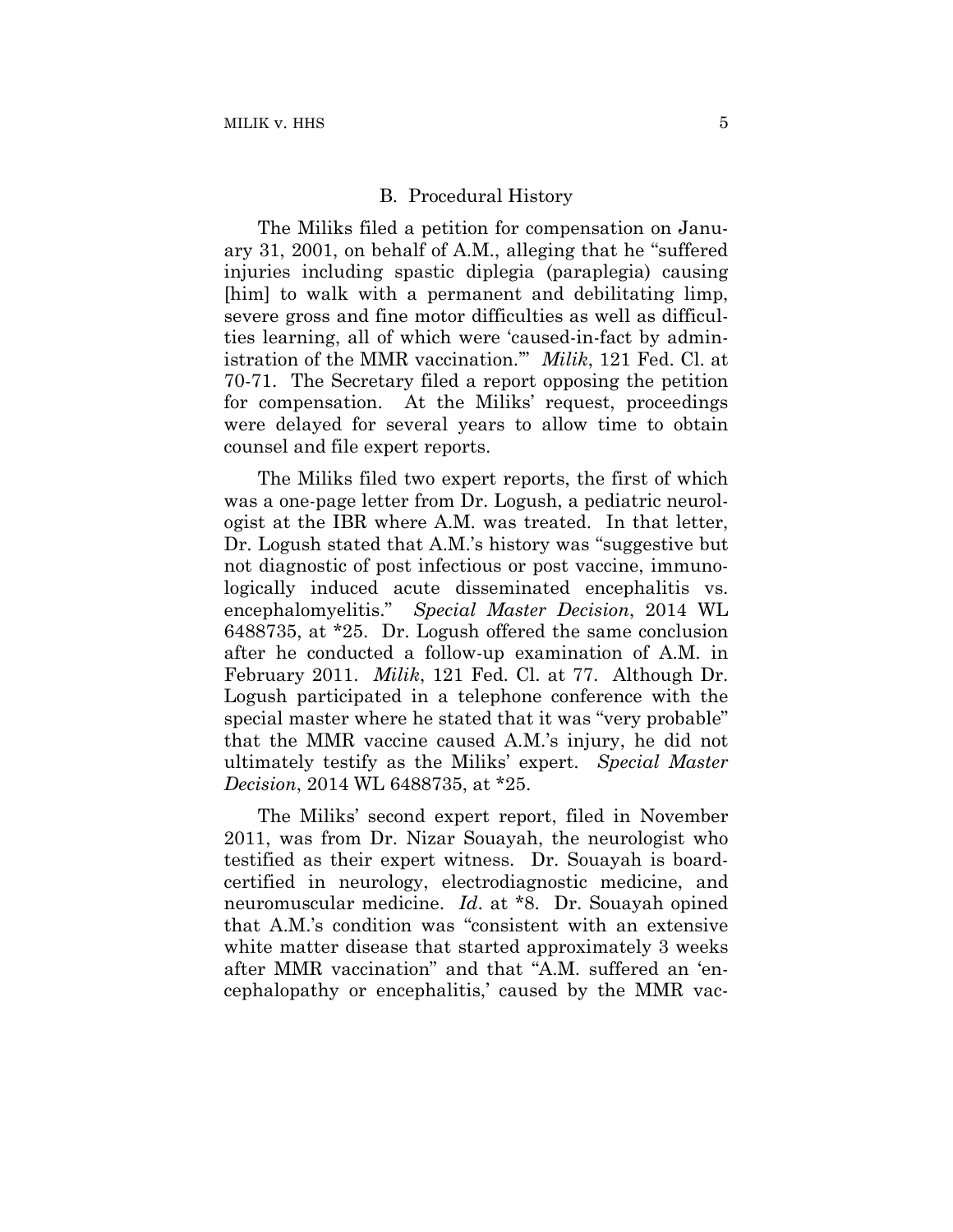#### B. Procedural History

The Miliks filed a petition for compensation on January 31, 2001, on behalf of A.M., alleging that he "suffered injuries including spastic diplegia (paraplegia) causing [him] to walk with a permanent and debilitating limp, severe gross and fine motor difficulties as well as difficulties learning, all of which were 'caused-in-fact by administration of the MMR vaccination.'" *Milik*, 121 Fed. Cl. at 70-71. The Secretary filed a report opposing the petition for compensation. At the Miliks' request, proceedings were delayed for several years to allow time to obtain counsel and file expert reports.

The Miliks filed two expert reports, the first of which was a one-page letter from Dr. Logush, a pediatric neurologist at the IBR where A.M. was treated. In that letter, Dr. Logush stated that A.M.'s history was "suggestive but not diagnostic of post infectious or post vaccine, immunologically induced acute disseminated encephalitis vs. encephalomyelitis." *Special Master Decision*, 2014 WL 6488735, at \*25. Dr. Logush offered the same conclusion after he conducted a follow-up examination of A.M. in February 2011. *Milik*, 121 Fed. Cl. at 77. Although Dr. Logush participated in a telephone conference with the special master where he stated that it was "very probable" that the MMR vaccine caused A.M.'s injury, he did not ultimately testify as the Miliks' expert. *Special Master Decision*, 2014 WL 6488735, at \*25.

The Miliks' second expert report, filed in November 2011, was from Dr. Nizar Souayah, the neurologist who testified as their expert witness. Dr. Souayah is boardcertified in neurology, electrodiagnostic medicine, and neuromuscular medicine. *Id*. at \*8. Dr. Souayah opined that A.M.'s condition was "consistent with an extensive white matter disease that started approximately 3 weeks after MMR vaccination" and that "A.M. suffered an 'encephalopathy or encephalitis,' caused by the MMR vac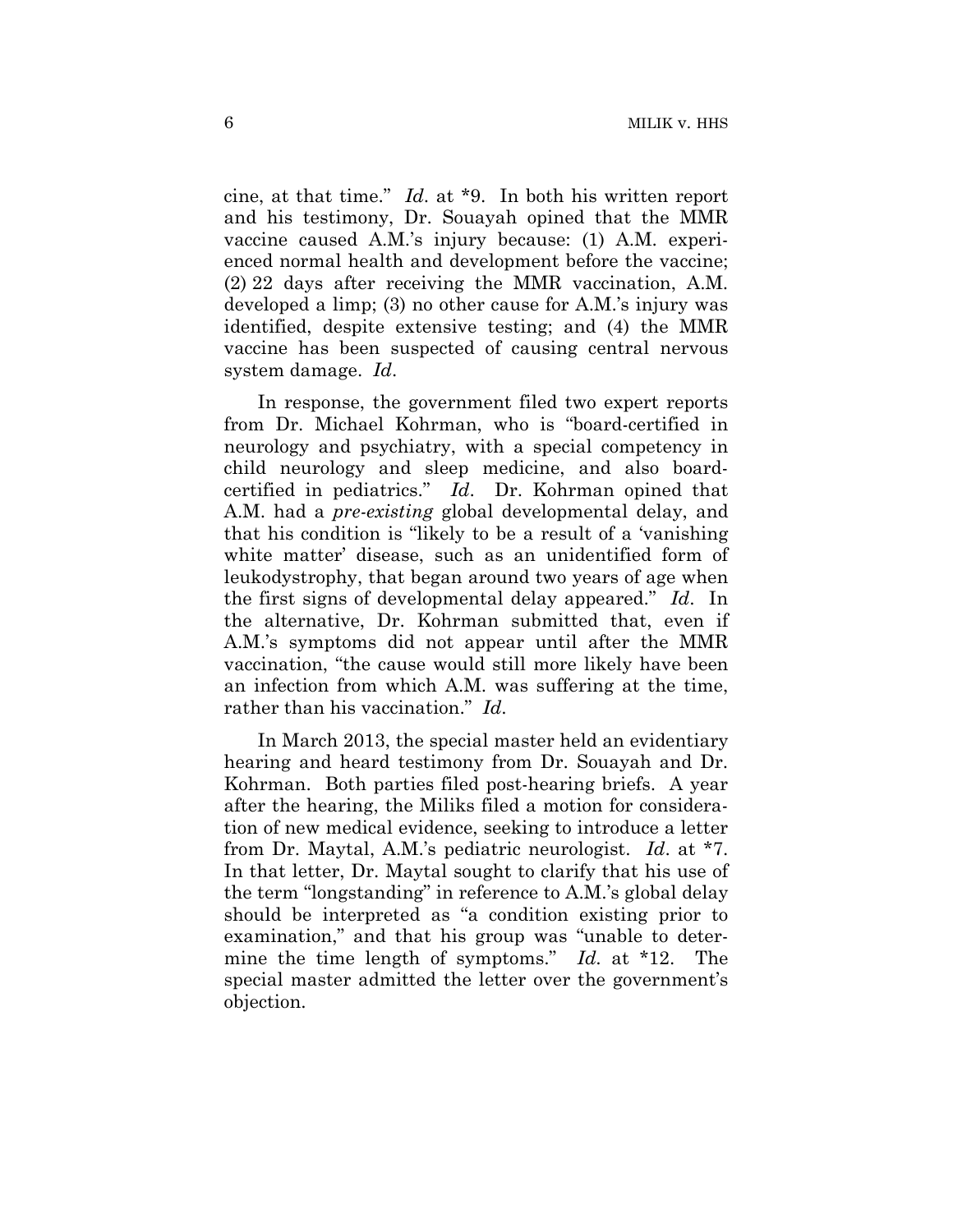cine, at that time." *Id*. at \*9. In both his written report and his testimony, Dr. Souayah opined that the MMR vaccine caused A.M.'s injury because: (1) A.M. experienced normal health and development before the vaccine; (2) 22 days after receiving the MMR vaccination, A.M. developed a limp; (3) no other cause for A.M.'s injury was identified, despite extensive testing; and (4) the MMR vaccine has been suspected of causing central nervous system damage. *Id*.

In response, the government filed two expert reports from Dr. Michael Kohrman, who is "board-certified in neurology and psychiatry, with a special competency in child neurology and sleep medicine, and also boardcertified in pediatrics." *Id*. Dr. Kohrman opined that A.M. had a *pre-existing* global developmental delay, and that his condition is "likely to be a result of a 'vanishing white matter' disease, such as an unidentified form of leukodystrophy, that began around two years of age when the first signs of developmental delay appeared." *Id*. In the alternative, Dr. Kohrman submitted that, even if A.M.'s symptoms did not appear until after the MMR vaccination, "the cause would still more likely have been an infection from which A.M. was suffering at the time, rather than his vaccination." *Id*.

In March 2013, the special master held an evidentiary hearing and heard testimony from Dr. Souayah and Dr. Kohrman. Both parties filed post-hearing briefs. A year after the hearing, the Miliks filed a motion for consideration of new medical evidence, seeking to introduce a letter from Dr. Maytal, A.M.'s pediatric neurologist. *Id*. at \*7. In that letter, Dr. Maytal sought to clarify that his use of the term "longstanding" in reference to A.M.'s global delay should be interpreted as "a condition existing prior to examination," and that his group was "unable to determine the time length of symptoms." *Id*. at \*12. The special master admitted the letter over the government's objection.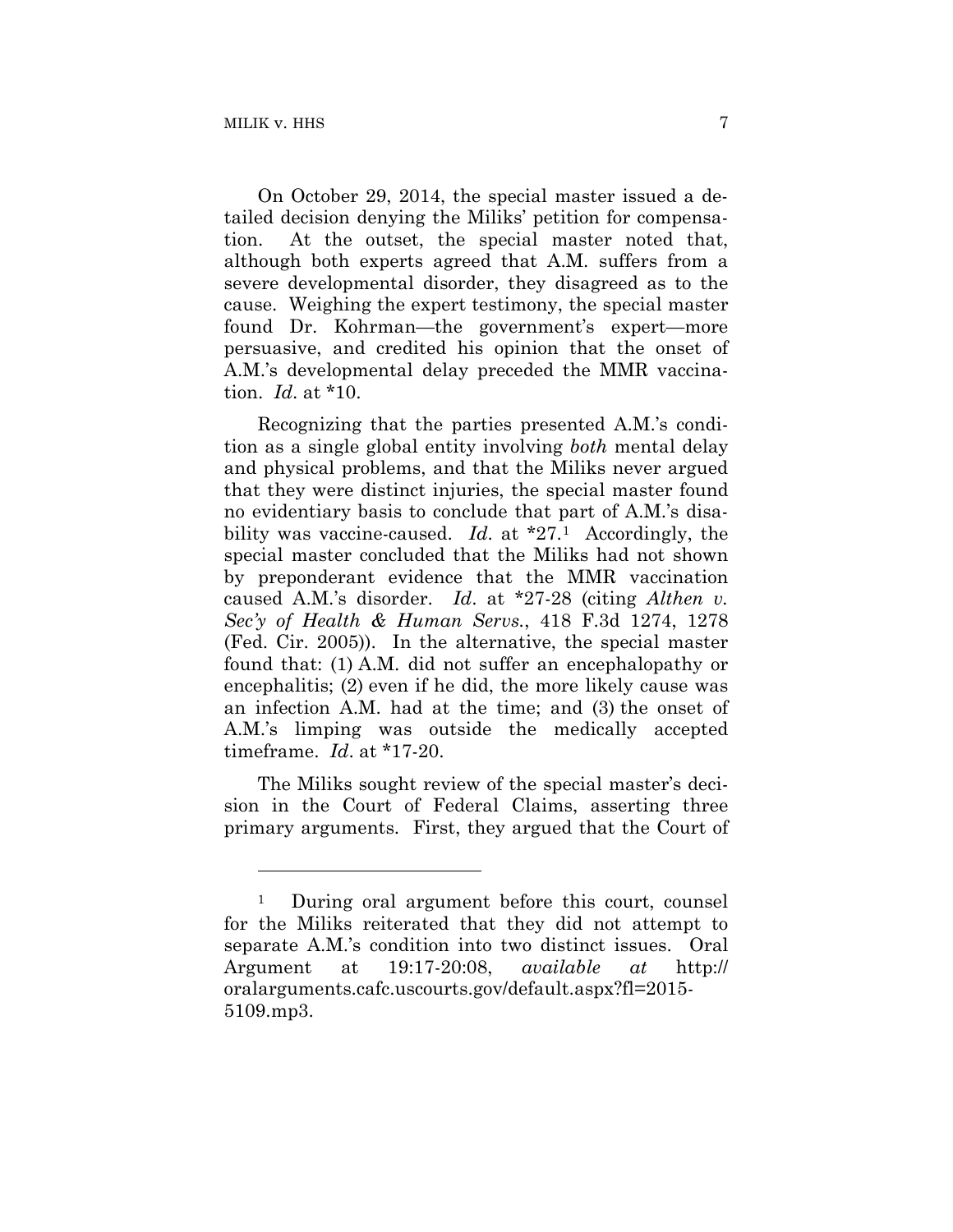1

On October 29, 2014, the special master issued a detailed decision denying the Miliks' petition for compensation. At the outset, the special master noted that, although both experts agreed that A.M. suffers from a severe developmental disorder, they disagreed as to the cause. Weighing the expert testimony, the special master found Dr. Kohrman—the government's expert—more persuasive, and credited his opinion that the onset of A.M.'s developmental delay preceded the MMR vaccination. *Id*. at \*10.

Recognizing that the parties presented A.M.'s condition as a single global entity involving *both* mental delay and physical problems, and that the Miliks never argued that they were distinct injuries, the special master found no evidentiary basis to conclude that part of A.M.'s disability was vaccine-caused. *Id*. at \*27.1 Accordingly, the special master concluded that the Miliks had not shown by preponderant evidence that the MMR vaccination caused A.M.'s disorder. *Id*. at \*27-28 (citing *Althen v. Sec'y of Health & Human Servs.*, 418 F.3d 1274, 1278 (Fed. Cir. 2005)). In the alternative, the special master found that: (1) A.M. did not suffer an encephalopathy or encephalitis; (2) even if he did, the more likely cause was an infection A.M. had at the time; and (3) the onset of A.M.'s limping was outside the medically accepted timeframe. *Id*. at \*17-20.

The Miliks sought review of the special master's decision in the Court of Federal Claims, asserting three primary arguments. First, they argued that the Court of

<sup>1</sup> During oral argument before this court, counsel for the Miliks reiterated that they did not attempt to separate A.M.'s condition into two distinct issues. Oral Argument at 19:17-20:08, *available at* http:// oralarguments.cafc.uscourts.gov/default.aspx?fl=2015- 5109.mp3.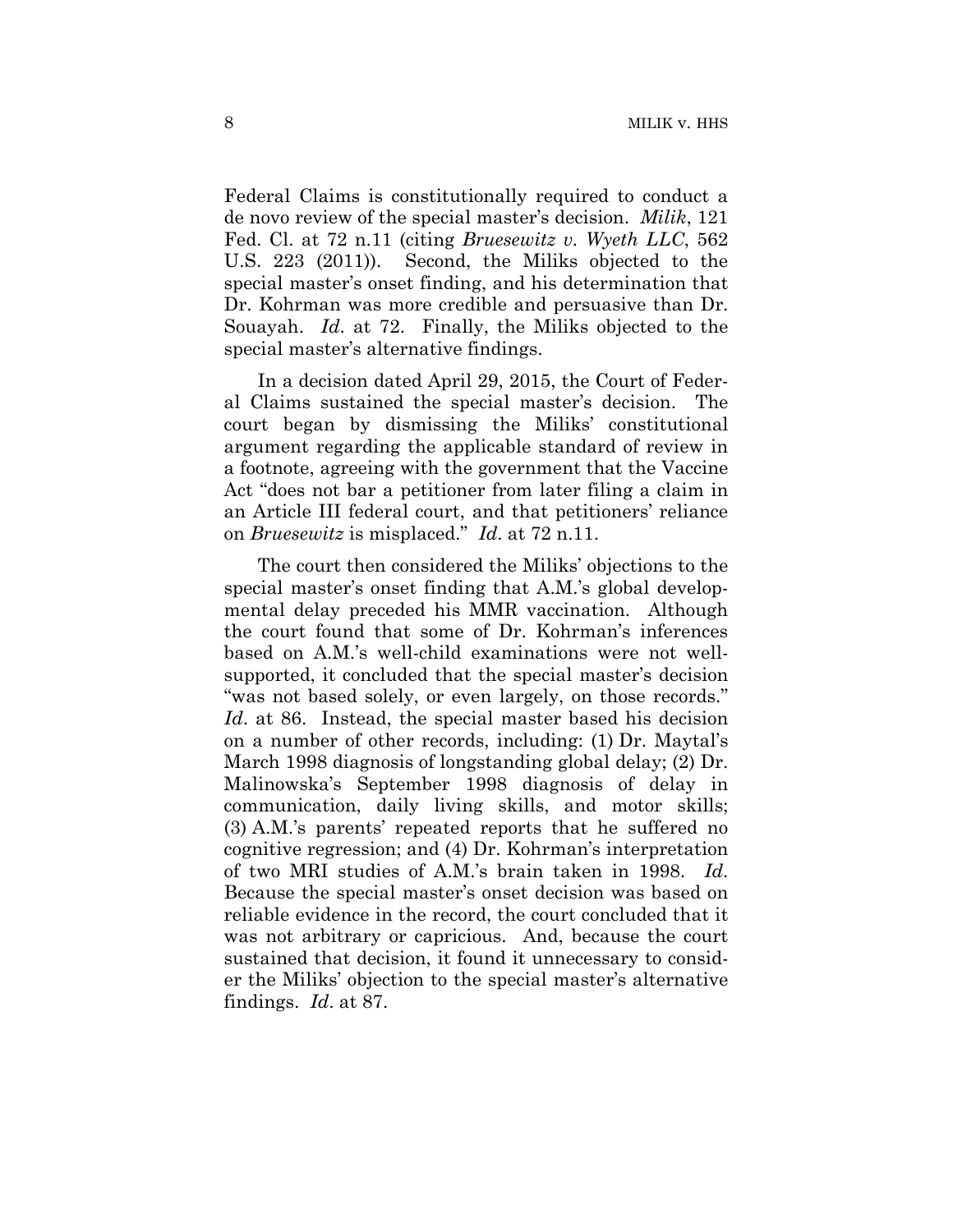Federal Claims is constitutionally required to conduct a de novo review of the special master's decision. *Milik*, 121 Fed. Cl. at 72 n.11 (citing *Bruesewitz v. Wyeth LLC*, 562 U.S. 223 (2011)). Second, the Miliks objected to the special master's onset finding, and his determination that Dr. Kohrman was more credible and persuasive than Dr. Souayah. *Id*. at 72. Finally, the Miliks objected to the special master's alternative findings.

In a decision dated April 29, 2015, the Court of Federal Claims sustained the special master's decision. The court began by dismissing the Miliks' constitutional argument regarding the applicable standard of review in a footnote, agreeing with the government that the Vaccine Act "does not bar a petitioner from later filing a claim in an Article III federal court, and that petitioners' reliance on *Bruesewitz* is misplaced." *Id*. at 72 n.11.

The court then considered the Miliks' objections to the special master's onset finding that A.M.'s global developmental delay preceded his MMR vaccination. Although the court found that some of Dr. Kohrman's inferences based on A.M.'s well-child examinations were not wellsupported, it concluded that the special master's decision "was not based solely, or even largely, on those records." *Id*. at 86. Instead, the special master based his decision on a number of other records, including: (1) Dr. Maytal's March 1998 diagnosis of longstanding global delay; (2) Dr. Malinowska's September 1998 diagnosis of delay in communication, daily living skills, and motor skills; (3) A.M.'s parents' repeated reports that he suffered no cognitive regression; and (4) Dr. Kohrman's interpretation of two MRI studies of A.M.'s brain taken in 1998. *Id*. Because the special master's onset decision was based on reliable evidence in the record, the court concluded that it was not arbitrary or capricious. And, because the court sustained that decision, it found it unnecessary to consider the Miliks' objection to the special master's alternative findings. *Id*. at 87.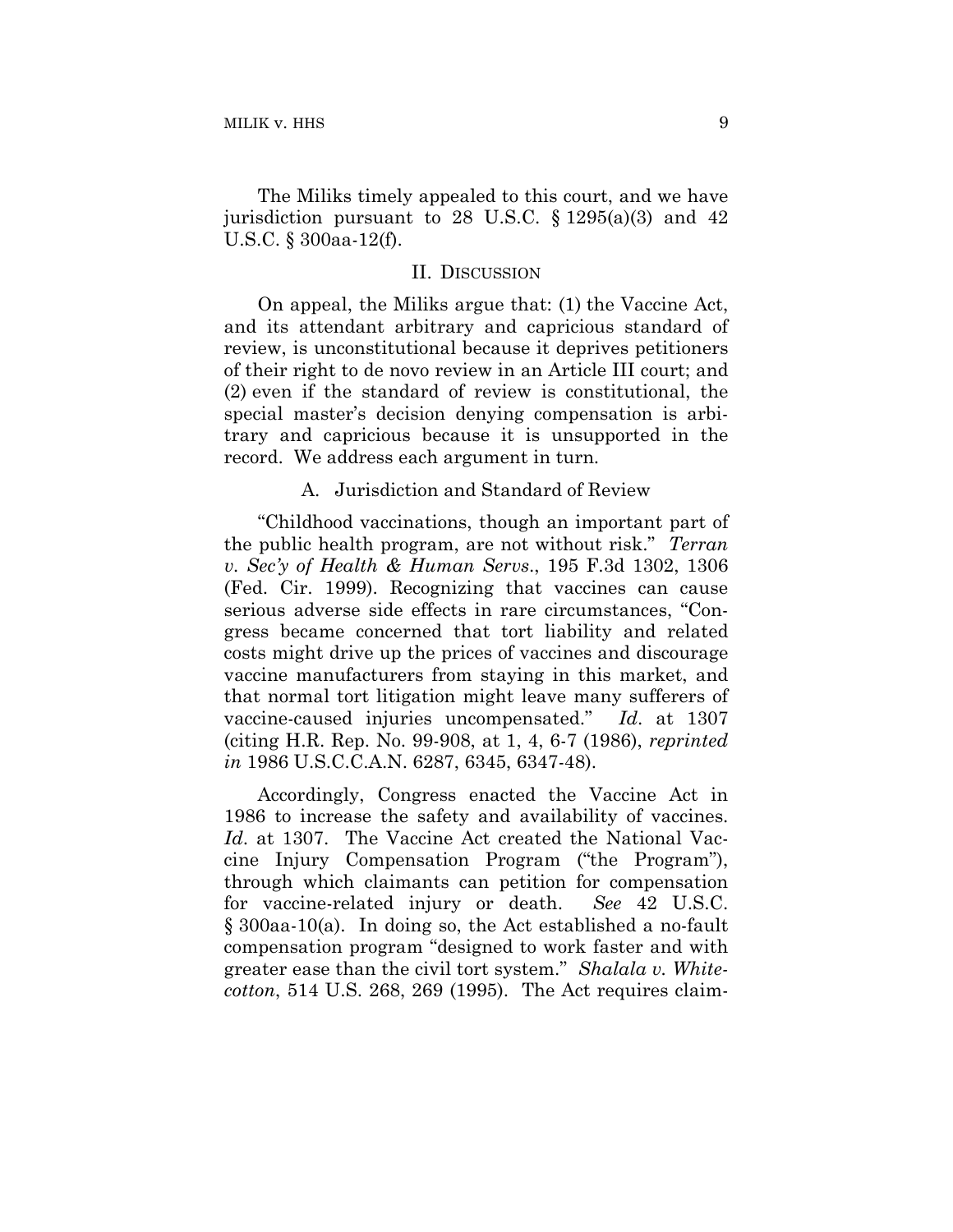The Miliks timely appealed to this court, and we have jurisdiction pursuant to 28 U.S.C.  $\S 1295(a)(3)$  and 42 U.S.C. § 300aa-12(f).

#### II. DISCUSSION

On appeal, the Miliks argue that: (1) the Vaccine Act, and its attendant arbitrary and capricious standard of review, is unconstitutional because it deprives petitioners of their right to de novo review in an Article III court; and (2) even if the standard of review is constitutional, the special master's decision denying compensation is arbitrary and capricious because it is unsupported in the record. We address each argument in turn.

## A. Jurisdiction and Standard of Review

"Childhood vaccinations, though an important part of the public health program, are not without risk." *Terran v. Sec'y of Health & Human Servs*., 195 F.3d 1302, 1306 (Fed. Cir. 1999). Recognizing that vaccines can cause serious adverse side effects in rare circumstances, "Congress became concerned that tort liability and related costs might drive up the prices of vaccines and discourage vaccine manufacturers from staying in this market, and that normal tort litigation might leave many sufferers of vaccine-caused injuries uncompensated." *Id*. at 1307 (citing H.R. Rep. No. 99-908, at 1, 4, 6-7 (1986), *reprinted in* 1986 U.S.C.C.A.N. 6287, 6345, 6347-48).

Accordingly, Congress enacted the Vaccine Act in 1986 to increase the safety and availability of vaccines. *Id*. at 1307. The Vaccine Act created the National Vaccine Injury Compensation Program ("the Program"), through which claimants can petition for compensation for vaccine-related injury or death. *See* 42 U.S.C. § 300aa-10(a). In doing so, the Act established a no-fault compensation program "designed to work faster and with greater ease than the civil tort system." *Shalala v. Whitecotton*, 514 U.S. 268, 269 (1995). The Act requires claim-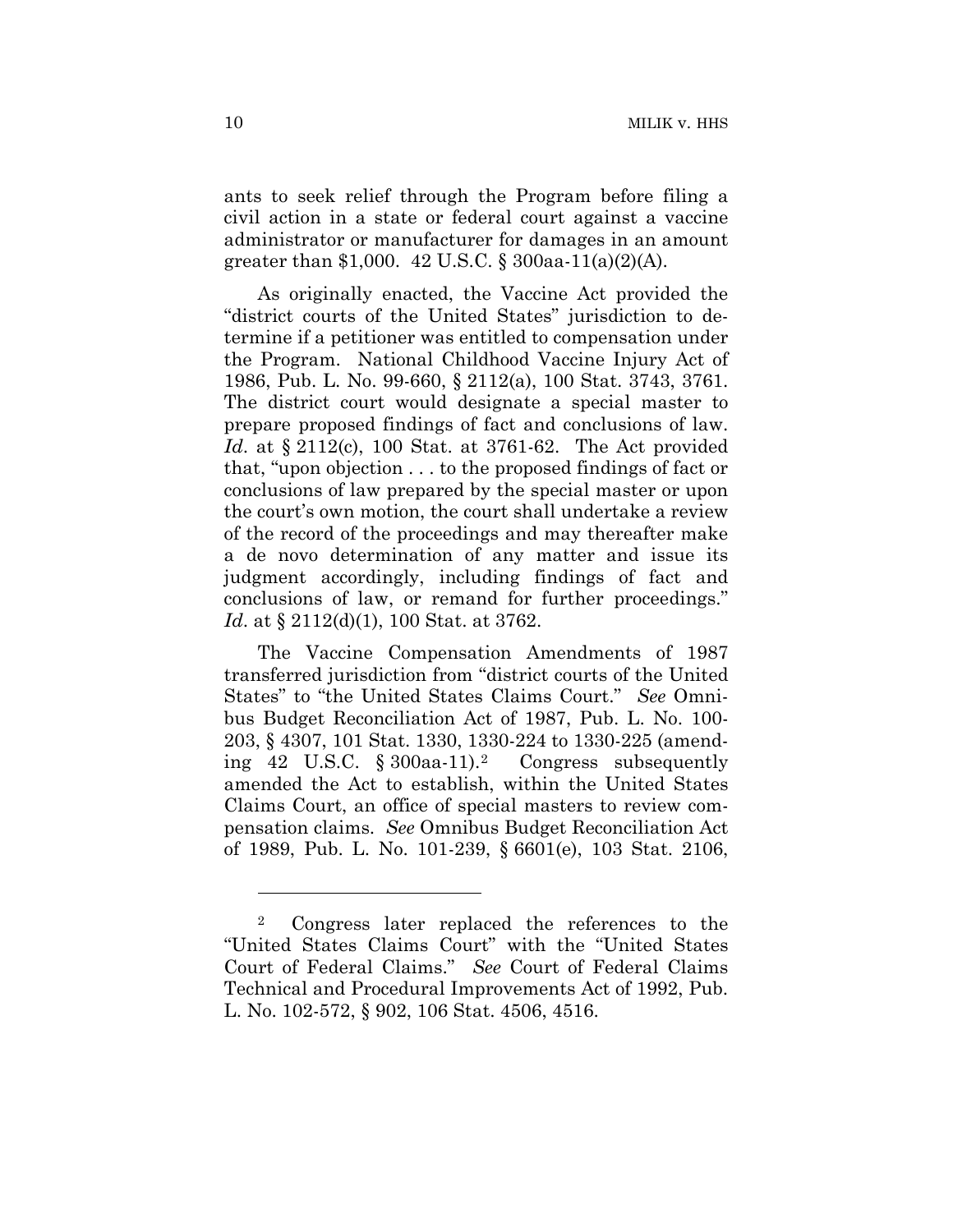ants to seek relief through the Program before filing a civil action in a state or federal court against a vaccine administrator or manufacturer for damages in an amount greater than \$1,000. 42 U.S.C. § 300aa-11(a)(2)(A).

As originally enacted, the Vaccine Act provided the "district courts of the United States" jurisdiction to determine if a petitioner was entitled to compensation under the Program. National Childhood Vaccine Injury Act of 1986, Pub. L. No. 99-660, § 2112(a), 100 Stat. 3743, 3761. The district court would designate a special master to prepare proposed findings of fact and conclusions of law. *Id*. at § 2112(c), 100 Stat. at 3761-62. The Act provided that, "upon objection . . . to the proposed findings of fact or conclusions of law prepared by the special master or upon the court's own motion, the court shall undertake a review of the record of the proceedings and may thereafter make a de novo determination of any matter and issue its judgment accordingly, including findings of fact and conclusions of law, or remand for further proceedings." *Id.* at § 2112(d)(1), 100 Stat. at 3762.

The Vaccine Compensation Amendments of 1987 transferred jurisdiction from "district courts of the United States" to "the United States Claims Court." *See* Omnibus Budget Reconciliation Act of 1987, Pub. L. No. 100- 203, § 4307, 101 Stat. 1330, 1330-224 to 1330-225 (amending 42 U.S.C. § 300aa-11).2 Congress subsequently amended the Act to establish, within the United States Claims Court, an office of special masters to review compensation claims. *See* Omnibus Budget Reconciliation Act of 1989, Pub. L. No. 101-239, § 6601(e), 103 Stat. 2106,

1

<sup>2</sup> Congress later replaced the references to the "United States Claims Court" with the "United States Court of Federal Claims." *See* Court of Federal Claims Technical and Procedural Improvements Act of 1992, Pub. L. No. 102-572, § 902, 106 Stat. 4506, 4516.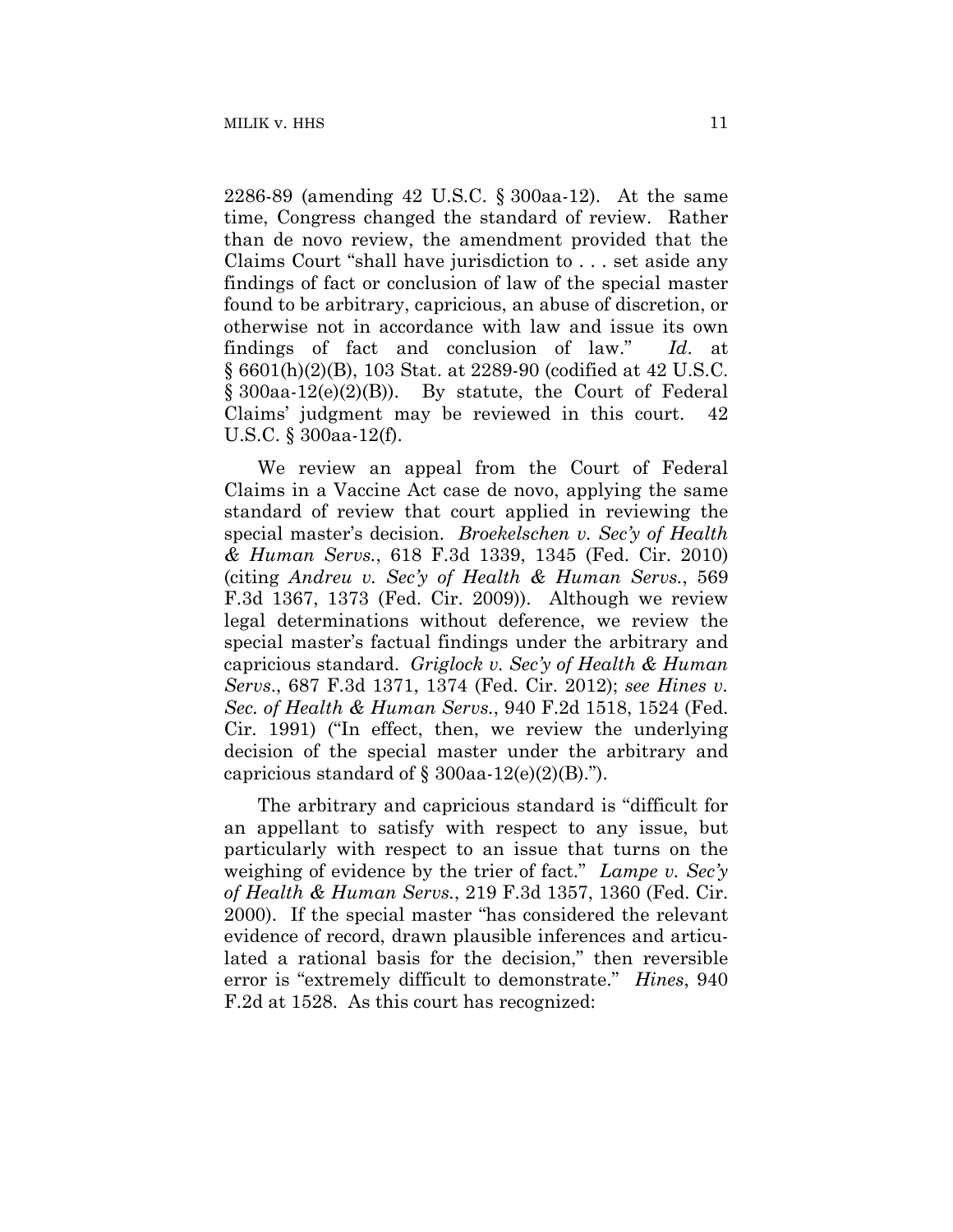2286-89 (amending 42 U.S.C. § 300aa-12). At the same time, Congress changed the standard of review. Rather than de novo review, the amendment provided that the Claims Court "shall have jurisdiction to . . . set aside any findings of fact or conclusion of law of the special master found to be arbitrary, capricious, an abuse of discretion, or otherwise not in accordance with law and issue its own findings of fact and conclusion of law." *Id*. at § 6601(h)(2)(B), 103 Stat. at 2289-90 (codified at 42 U.S.C.  $\S$  300aa-12(e)(2)(B)). By statute, the Court of Federal Claims' judgment may be reviewed in this court. 42 U.S.C. § 300aa-12(f).

We review an appeal from the Court of Federal Claims in a Vaccine Act case de novo, applying the same standard of review that court applied in reviewing the special master's decision. *Broekelschen v. Sec'y of Health & Human Servs.*, 618 F.3d 1339, 1345 (Fed. Cir. 2010) (citing *Andreu v. Sec'y of Health & Human Servs.*, 569 F.3d 1367, 1373 (Fed. Cir. 2009)). Although we review legal determinations without deference, we review the special master's factual findings under the arbitrary and capricious standard. *Griglock v. Sec'y of Health & Human Servs*., 687 F.3d 1371, 1374 (Fed. Cir. 2012); *see Hines v. Sec. of Health & Human Servs.*, 940 F.2d 1518, 1524 (Fed. Cir. 1991) ("In effect, then, we review the underlying decision of the special master under the arbitrary and capricious standard of  $\S$  300aa-12(e)(2)(B).").

The arbitrary and capricious standard is "difficult for an appellant to satisfy with respect to any issue, but particularly with respect to an issue that turns on the weighing of evidence by the trier of fact." *Lampe v. Sec'y of Health & Human Servs.*, 219 F.3d 1357, 1360 (Fed. Cir. 2000). If the special master "has considered the relevant evidence of record, drawn plausible inferences and articulated a rational basis for the decision," then reversible error is "extremely difficult to demonstrate." *Hines*, 940 F.2d at 1528. As this court has recognized: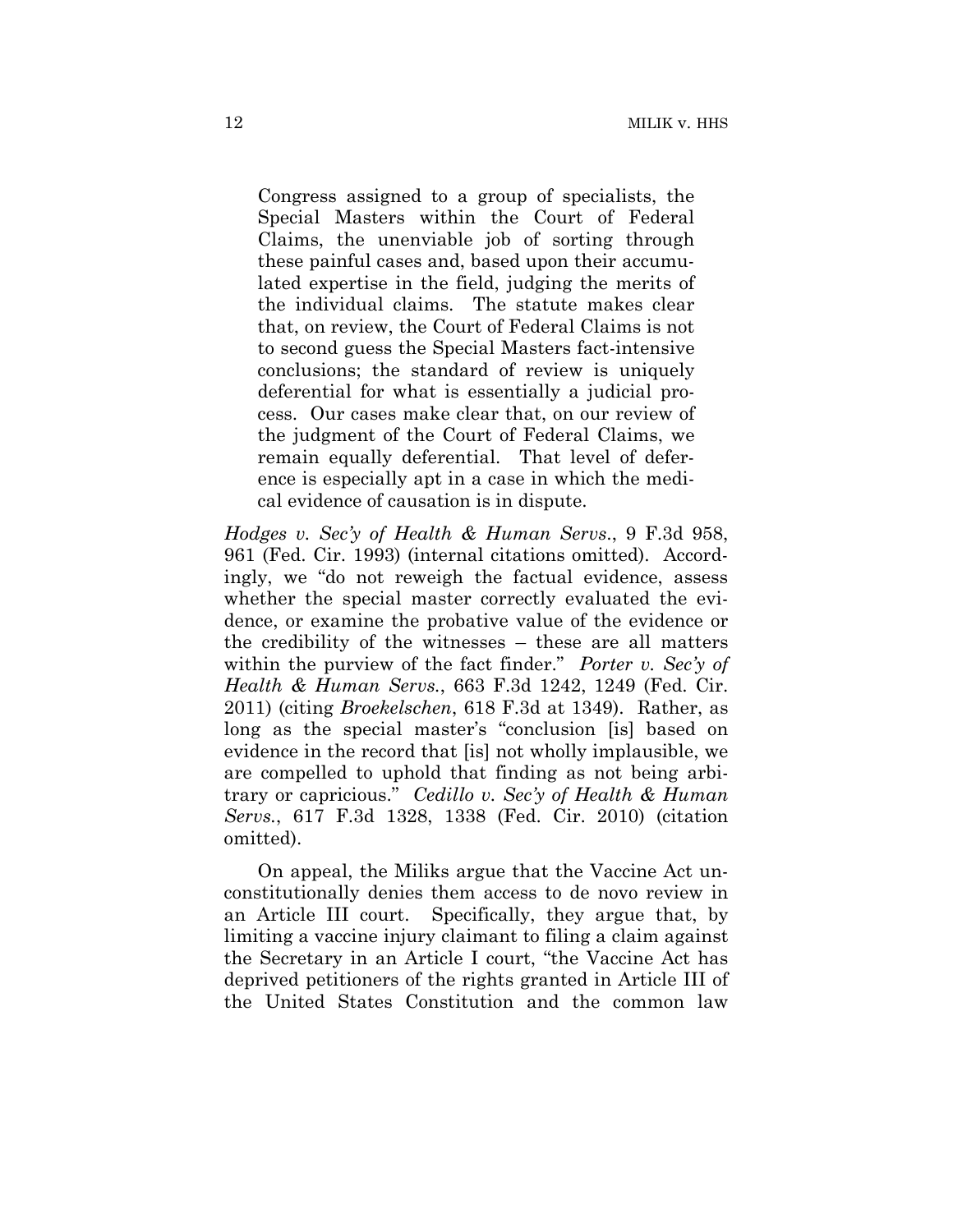Congress assigned to a group of specialists, the Special Masters within the Court of Federal Claims, the unenviable job of sorting through these painful cases and, based upon their accumulated expertise in the field, judging the merits of the individual claims. The statute makes clear that, on review, the Court of Federal Claims is not to second guess the Special Masters fact-intensive conclusions; the standard of review is uniquely deferential for what is essentially a judicial process. Our cases make clear that, on our review of the judgment of the Court of Federal Claims, we remain equally deferential. That level of deference is especially apt in a case in which the medical evidence of causation is in dispute.

*Hodges v. Sec'y of Health & Human Servs*., 9 F.3d 958, 961 (Fed. Cir. 1993) (internal citations omitted). Accordingly, we "do not reweigh the factual evidence, assess whether the special master correctly evaluated the evidence, or examine the probative value of the evidence or the credibility of the witnesses – these are all matters within the purview of the fact finder." *Porter v. Sec'y of Health & Human Servs.*, 663 F.3d 1242, 1249 (Fed. Cir. 2011) (citing *Broekelschen*, 618 F.3d at 1349). Rather, as long as the special master's "conclusion [is] based on evidence in the record that [is] not wholly implausible, we are compelled to uphold that finding as not being arbitrary or capricious." *Cedillo v. Sec'y of Health & Human Servs.*, 617 F.3d 1328, 1338 (Fed. Cir. 2010) (citation omitted).

On appeal, the Miliks argue that the Vaccine Act unconstitutionally denies them access to de novo review in an Article III court. Specifically, they argue that, by limiting a vaccine injury claimant to filing a claim against the Secretary in an Article I court, "the Vaccine Act has deprived petitioners of the rights granted in Article III of the United States Constitution and the common law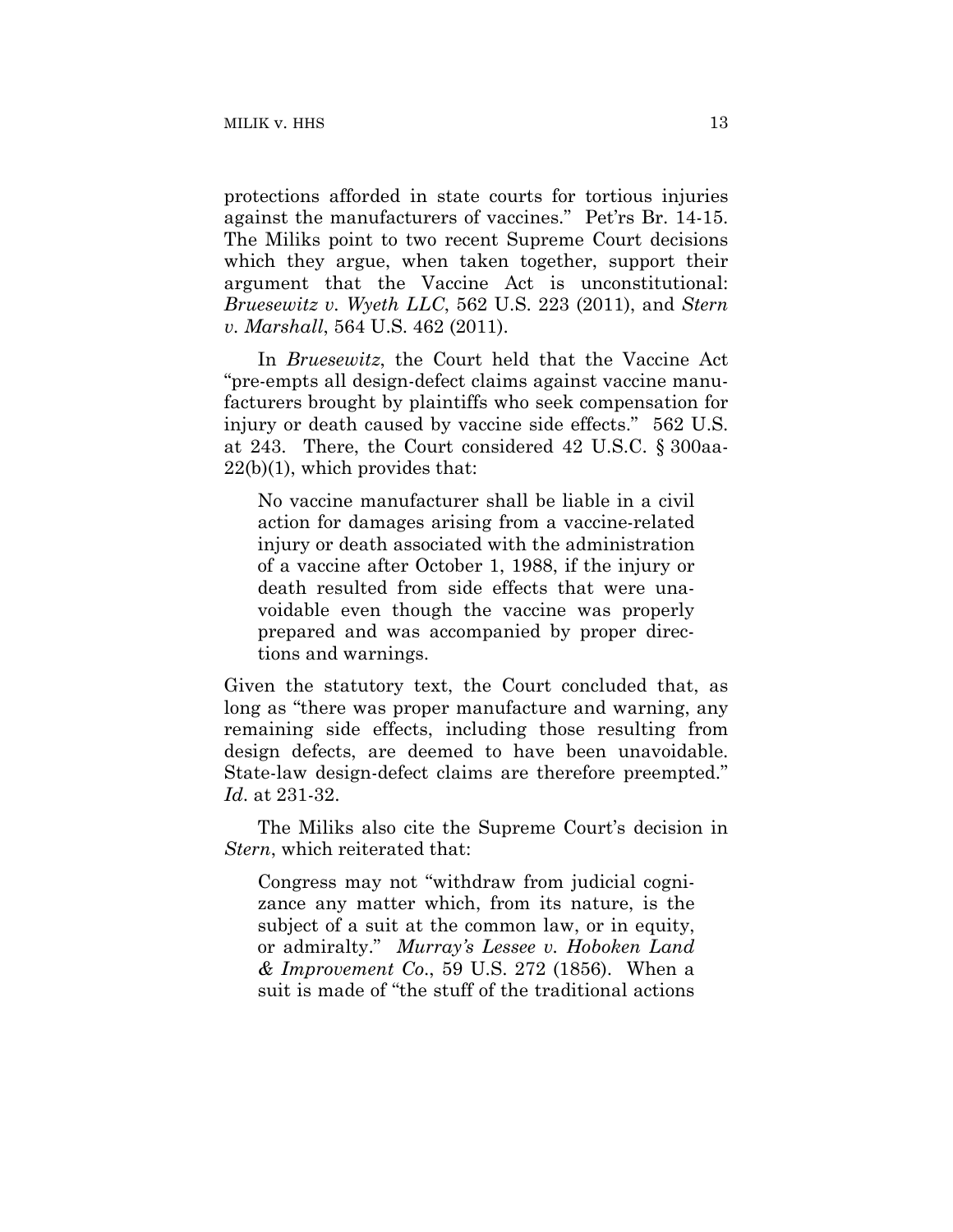protections afforded in state courts for tortious injuries against the manufacturers of vaccines." Pet'rs Br. 14-15. The Miliks point to two recent Supreme Court decisions which they argue, when taken together, support their argument that the Vaccine Act is unconstitutional: *Bruesewitz v. Wyeth LLC*, 562 U.S. 223 (2011), and *Stern v. Marshall*, 564 U.S. 462 (2011).

In *Bruesewitz*, the Court held that the Vaccine Act "pre-empts all design-defect claims against vaccine manufacturers brought by plaintiffs who seek compensation for injury or death caused by vaccine side effects." 562 U.S. at 243. There, the Court considered 42 U.S.C. § 300aa-22(b)(1), which provides that:

No vaccine manufacturer shall be liable in a civil action for damages arising from a vaccine-related injury or death associated with the administration of a vaccine after October 1, 1988, if the injury or death resulted from side effects that were unavoidable even though the vaccine was properly prepared and was accompanied by proper directions and warnings.

Given the statutory text, the Court concluded that, as long as "there was proper manufacture and warning, any remaining side effects, including those resulting from design defects, are deemed to have been unavoidable. State-law design-defect claims are therefore preempted." *Id*. at 231-32.

The Miliks also cite the Supreme Court's decision in *Stern*, which reiterated that:

Congress may not "withdraw from judicial cognizance any matter which, from its nature, is the subject of a suit at the common law, or in equity, or admiralty." *Murray's Lessee v. Hoboken Land & Improvement Co*., 59 U.S. 272 (1856). When a suit is made of "the stuff of the traditional actions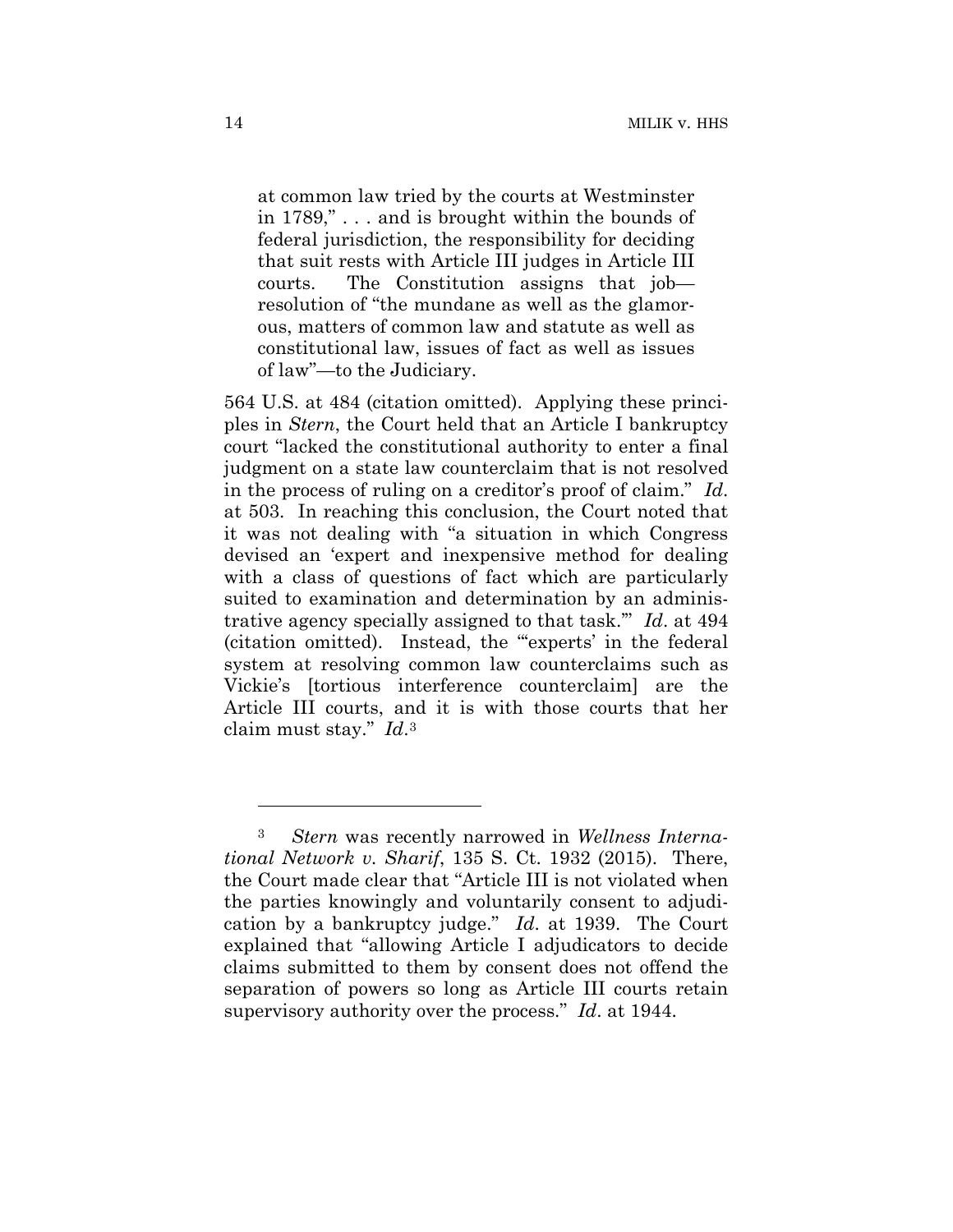at common law tried by the courts at Westminster in 1789," . . . and is brought within the bounds of federal jurisdiction, the responsibility for deciding that suit rests with Article III judges in Article III courts. The Constitution assigns that job resolution of "the mundane as well as the glamorous, matters of common law and statute as well as constitutional law, issues of fact as well as issues of law"—to the Judiciary.

564 U.S. at 484 (citation omitted). Applying these principles in *Stern*, the Court held that an Article I bankruptcy court "lacked the constitutional authority to enter a final judgment on a state law counterclaim that is not resolved in the process of ruling on a creditor's proof of claim." *Id*. at 503. In reaching this conclusion, the Court noted that it was not dealing with "a situation in which Congress devised an 'expert and inexpensive method for dealing with a class of questions of fact which are particularly suited to examination and determination by an administrative agency specially assigned to that task.'" *Id*. at 494 (citation omitted). Instead, the "'experts' in the federal system at resolving common law counterclaims such as Vickie's [tortious interference counterclaim] are the Article III courts, and it is with those courts that her claim must stay." *Id*.3

1

<sup>3</sup> *Stern* was recently narrowed in *Wellness International Network v. Sharif*, 135 S. Ct. 1932 (2015). There, the Court made clear that "Article III is not violated when the parties knowingly and voluntarily consent to adjudication by a bankruptcy judge." *Id*. at 1939. The Court explained that "allowing Article I adjudicators to decide claims submitted to them by consent does not offend the separation of powers so long as Article III courts retain supervisory authority over the process." *Id*. at 1944.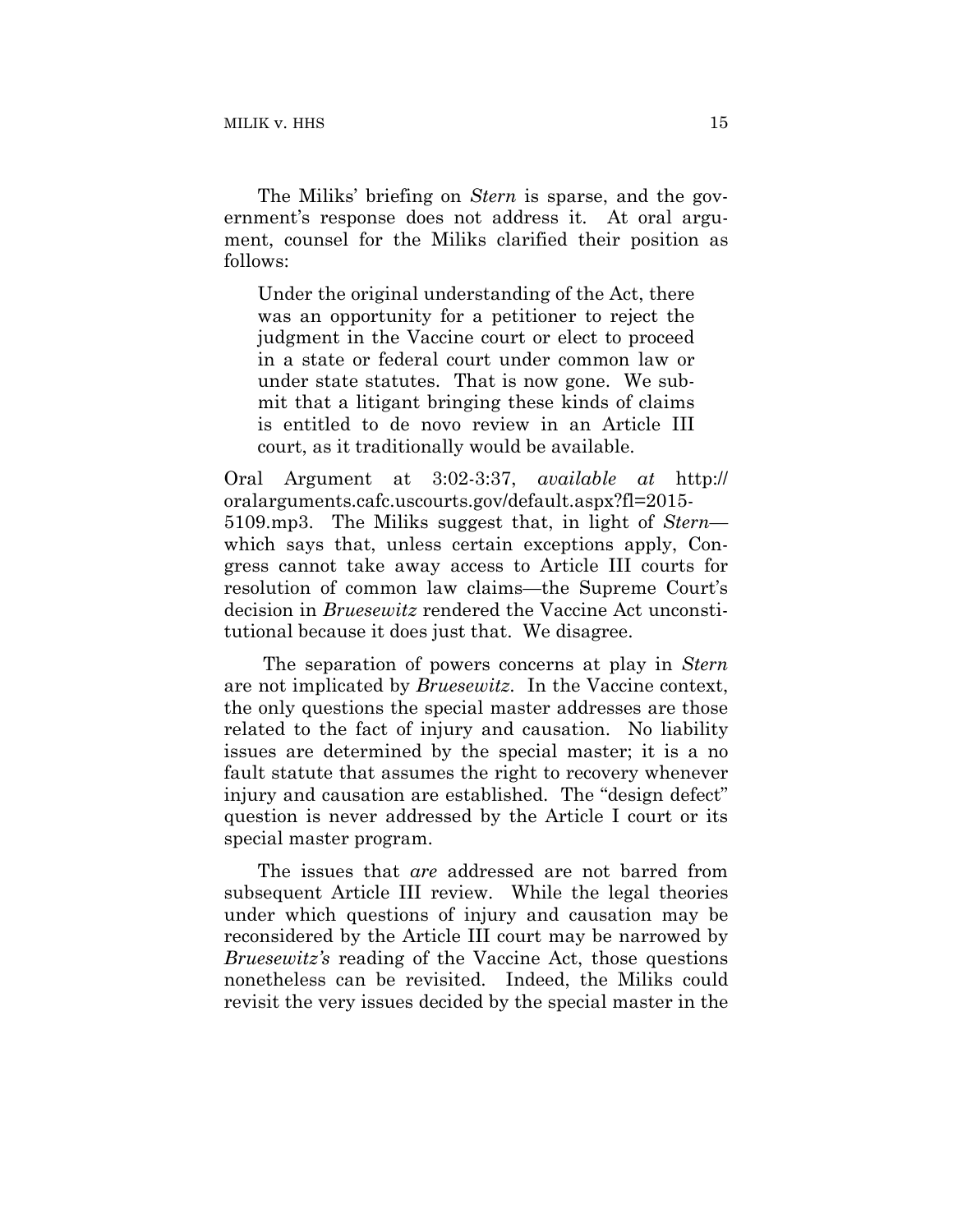The Miliks' briefing on *Stern* is sparse, and the government's response does not address it. At oral argument, counsel for the Miliks clarified their position as follows:

Under the original understanding of the Act, there was an opportunity for a petitioner to reject the judgment in the Vaccine court or elect to proceed in a state or federal court under common law or under state statutes. That is now gone. We submit that a litigant bringing these kinds of claims is entitled to de novo review in an Article III court, as it traditionally would be available.

Oral Argument at 3:02-3:37, *available at* http:// oralarguments.cafc.uscourts.gov/default.aspx?fl=2015- 5109.mp3. The Miliks suggest that, in light of *Stern* which says that, unless certain exceptions apply, Congress cannot take away access to Article III courts for resolution of common law claims—the Supreme Court's decision in *Bruesewitz* rendered the Vaccine Act unconstitutional because it does just that. We disagree.

 The separation of powers concerns at play in *Stern* are not implicated by *Bruesewitz*. In the Vaccine context, the only questions the special master addresses are those related to the fact of injury and causation. No liability issues are determined by the special master; it is a no fault statute that assumes the right to recovery whenever injury and causation are established. The "design defect" question is never addressed by the Article I court or its special master program.

The issues that *are* addressed are not barred from subsequent Article III review. While the legal theories under which questions of injury and causation may be reconsidered by the Article III court may be narrowed by *Bruesewitz's* reading of the Vaccine Act, those questions nonetheless can be revisited. Indeed, the Miliks could revisit the very issues decided by the special master in the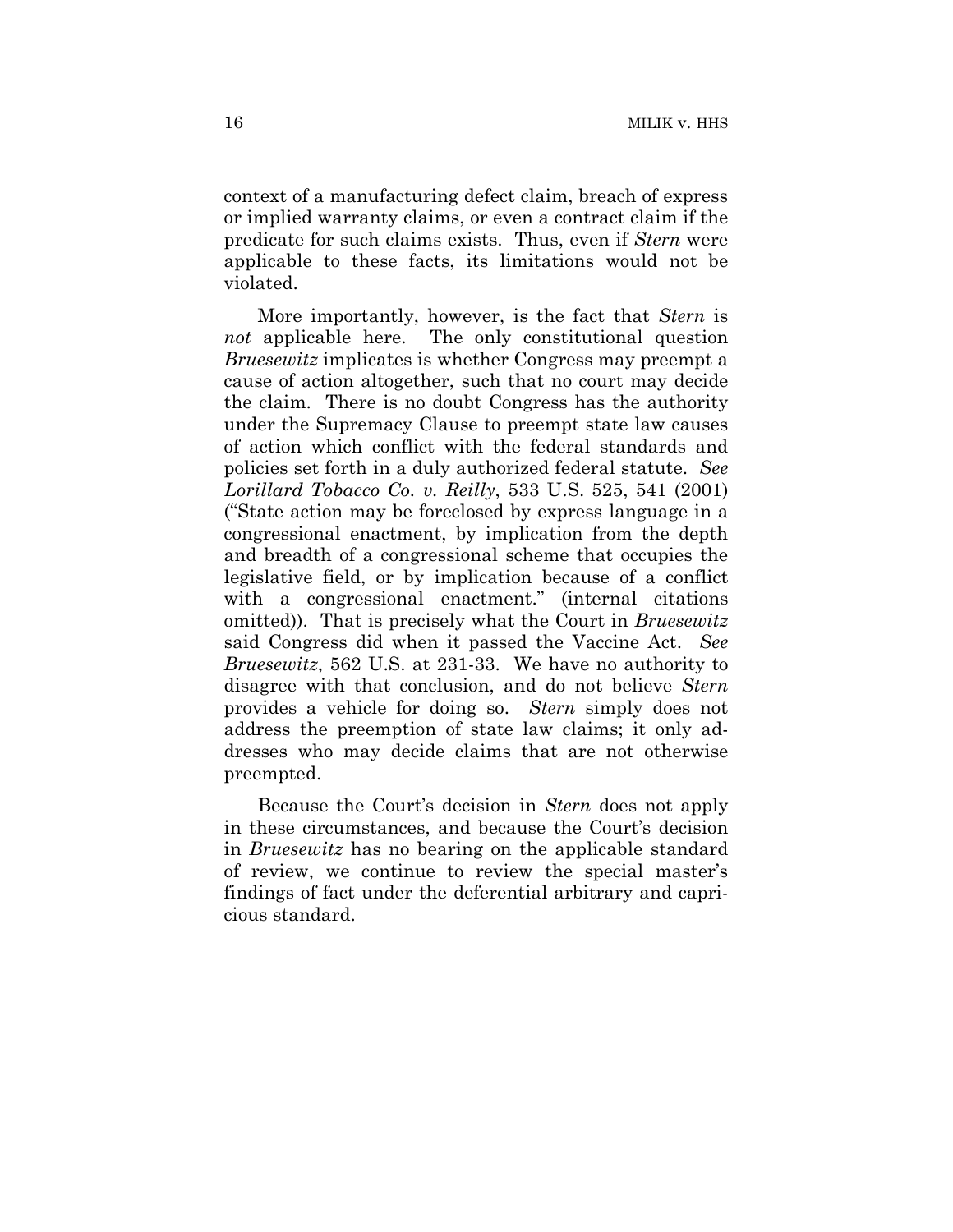context of a manufacturing defect claim, breach of express or implied warranty claims, or even a contract claim if the predicate for such claims exists. Thus, even if *Stern* were applicable to these facts, its limitations would not be violated.

More importantly, however, is the fact that *Stern* is *not* applicable here. The only constitutional question *Bruesewitz* implicates is whether Congress may preempt a cause of action altogether, such that no court may decide the claim. There is no doubt Congress has the authority under the Supremacy Clause to preempt state law causes of action which conflict with the federal standards and policies set forth in a duly authorized federal statute. *See Lorillard Tobacco Co. v. Reilly*, 533 U.S. 525, 541 (2001) ("State action may be foreclosed by express language in a congressional enactment, by implication from the depth and breadth of a congressional scheme that occupies the legislative field, or by implication because of a conflict with a congressional enactment." (internal citations omitted)). That is precisely what the Court in *Bruesewitz* said Congress did when it passed the Vaccine Act. *See Bruesewitz*, 562 U.S. at 231-33. We have no authority to disagree with that conclusion, and do not believe *Stern* provides a vehicle for doing so. *Stern* simply does not address the preemption of state law claims; it only addresses who may decide claims that are not otherwise preempted.

Because the Court's decision in *Stern* does not apply in these circumstances, and because the Court's decision in *Bruesewitz* has no bearing on the applicable standard of review, we continue to review the special master's findings of fact under the deferential arbitrary and capricious standard.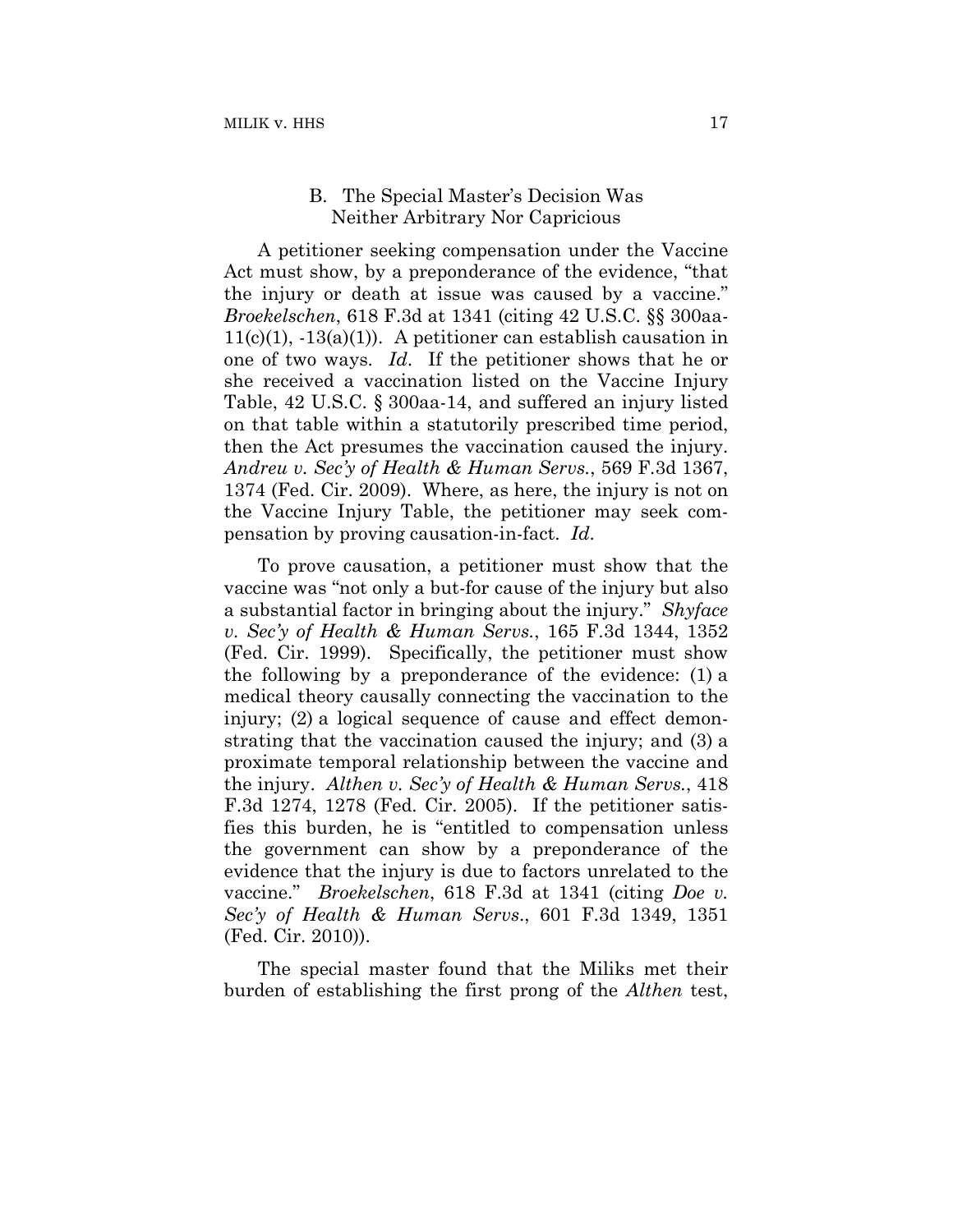## B. The Special Master's Decision Was Neither Arbitrary Nor Capricious

A petitioner seeking compensation under the Vaccine Act must show, by a preponderance of the evidence, "that the injury or death at issue was caused by a vaccine." *Broekelschen*, 618 F.3d at 1341 (citing 42 U.S.C. §§ 300aa- $11(c)(1)$ ,  $-13(a)(1)$ . A petitioner can establish causation in one of two ways. *Id*. If the petitioner shows that he or she received a vaccination listed on the Vaccine Injury Table, 42 U.S.C. § 300aa-14, and suffered an injury listed on that table within a statutorily prescribed time period, then the Act presumes the vaccination caused the injury. *Andreu v. Sec'y of Health & Human Servs.*, 569 F.3d 1367, 1374 (Fed. Cir. 2009). Where, as here, the injury is not on the Vaccine Injury Table, the petitioner may seek compensation by proving causation-in-fact. *Id*.

To prove causation, a petitioner must show that the vaccine was "not only a but-for cause of the injury but also a substantial factor in bringing about the injury." *Shyface v. Sec'y of Health & Human Servs.*, 165 F.3d 1344, 1352 (Fed. Cir. 1999). Specifically, the petitioner must show the following by a preponderance of the evidence: (1) a medical theory causally connecting the vaccination to the injury; (2) a logical sequence of cause and effect demonstrating that the vaccination caused the injury; and (3) a proximate temporal relationship between the vaccine and the injury. *Althen v. Sec'y of Health & Human Servs.*, 418 F.3d 1274, 1278 (Fed. Cir. 2005). If the petitioner satisfies this burden, he is "entitled to compensation unless the government can show by a preponderance of the evidence that the injury is due to factors unrelated to the vaccine." *Broekelschen*, 618 F.3d at 1341 (citing *Doe v. Sec'y of Health & Human Servs*., 601 F.3d 1349, 1351 (Fed. Cir. 2010)).

The special master found that the Miliks met their burden of establishing the first prong of the *Althen* test,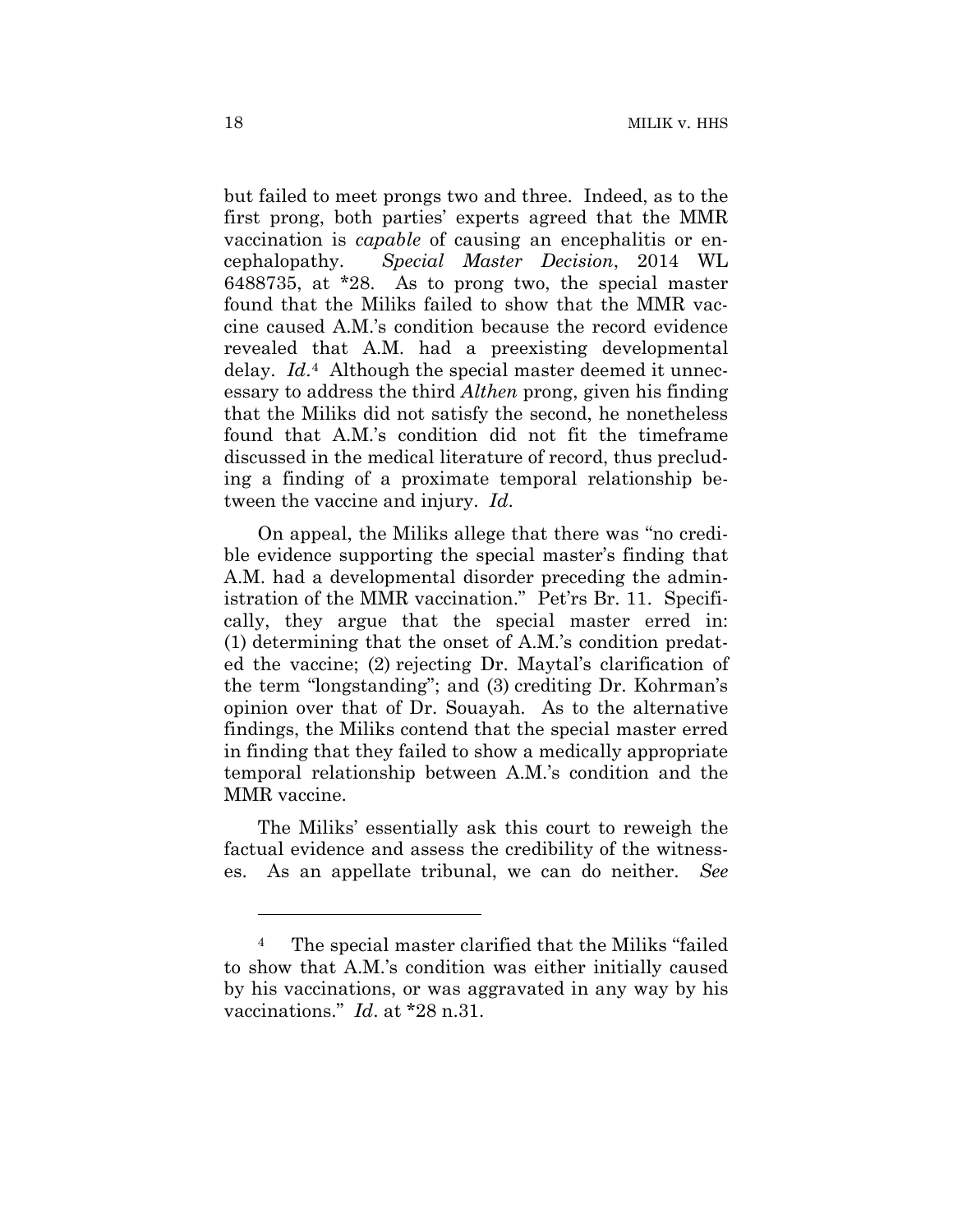but failed to meet prongs two and three. Indeed, as to the first prong, both parties' experts agreed that the MMR vaccination is *capable* of causing an encephalitis or encephalopathy. *Special Master Decision*, 2014 WL 6488735, at \*28. As to prong two, the special master found that the Miliks failed to show that the MMR vaccine caused A.M.'s condition because the record evidence revealed that A.M. had a preexisting developmental delay. *Id*.4 Although the special master deemed it unnecessary to address the third *Althen* prong, given his finding that the Miliks did not satisfy the second, he nonetheless found that A.M.'s condition did not fit the timeframe discussed in the medical literature of record, thus precluding a finding of a proximate temporal relationship between the vaccine and injury. *Id*.

On appeal, the Miliks allege that there was "no credible evidence supporting the special master's finding that A.M. had a developmental disorder preceding the administration of the MMR vaccination." Pet'rs Br. 11. Specifically, they argue that the special master erred in: (1) determining that the onset of A.M.'s condition predated the vaccine; (2) rejecting Dr. Maytal's clarification of the term "longstanding"; and (3) crediting Dr. Kohrman's opinion over that of Dr. Souayah. As to the alternative findings, the Miliks contend that the special master erred in finding that they failed to show a medically appropriate temporal relationship between A.M.'s condition and the MMR vaccine.

The Miliks' essentially ask this court to reweigh the factual evidence and assess the credibility of the witnesses. As an appellate tribunal, we can do neither. *See* 

<u>.</u>

<sup>4</sup> The special master clarified that the Miliks "failed to show that A.M.'s condition was either initially caused by his vaccinations, or was aggravated in any way by his vaccinations." *Id*. at \*28 n.31.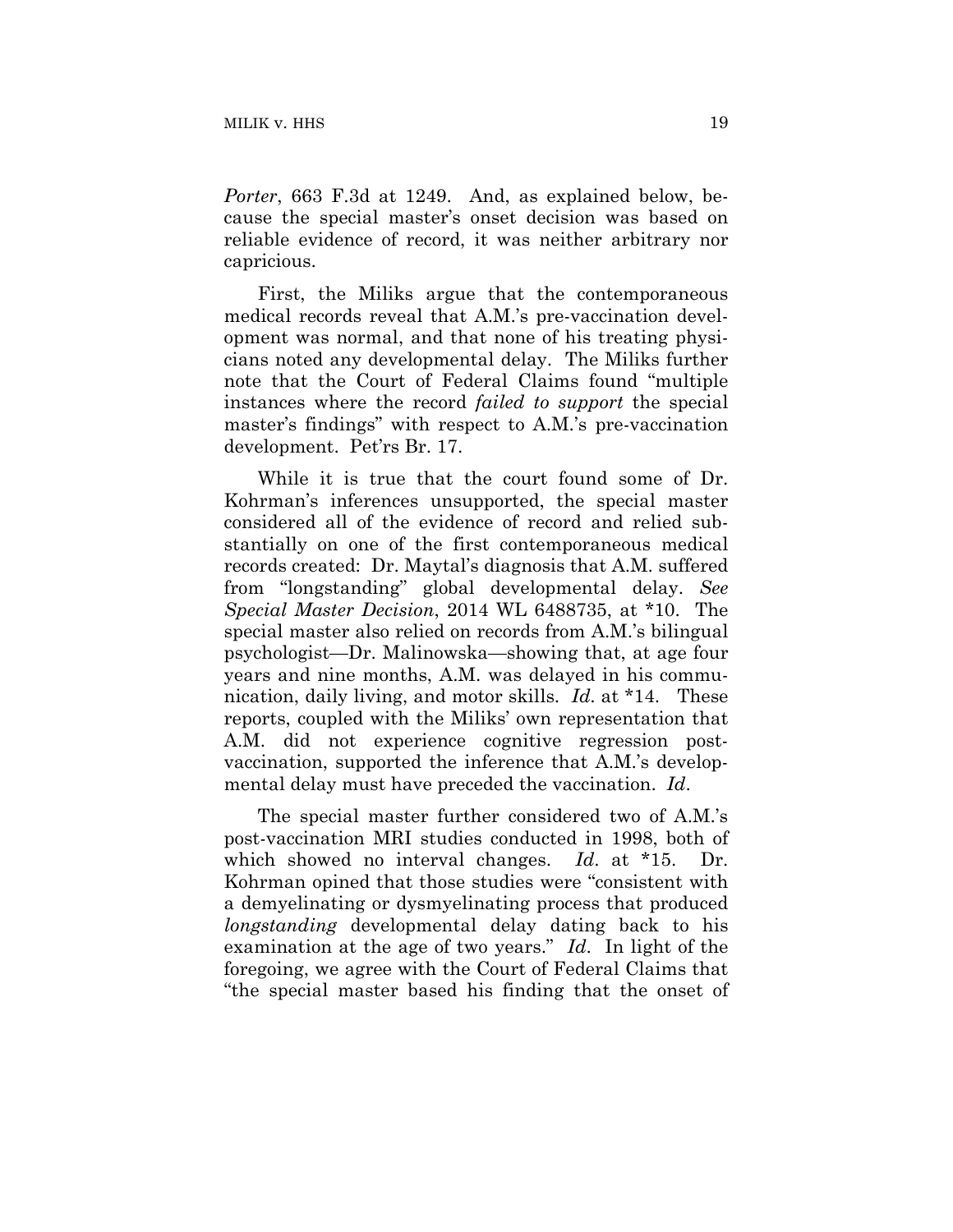*Porter*, 663 F.3d at 1249. And, as explained below, because the special master's onset decision was based on reliable evidence of record, it was neither arbitrary nor capricious.

First, the Miliks argue that the contemporaneous medical records reveal that A.M.'s pre-vaccination development was normal, and that none of his treating physicians noted any developmental delay. The Miliks further note that the Court of Federal Claims found "multiple instances where the record *failed to support* the special master's findings" with respect to A.M.'s pre-vaccination development. Pet'rs Br. 17.

While it is true that the court found some of Dr. Kohrman's inferences unsupported, the special master considered all of the evidence of record and relied substantially on one of the first contemporaneous medical records created: Dr. Maytal's diagnosis that A.M. suffered from "longstanding" global developmental delay. *See Special Master Decision*, 2014 WL 6488735, at \*10. The special master also relied on records from A.M.'s bilingual psychologist—Dr. Malinowska—showing that, at age four years and nine months, A.M. was delayed in his communication, daily living, and motor skills. *Id*. at \*14. These reports, coupled with the Miliks' own representation that A.M. did not experience cognitive regression postvaccination, supported the inference that A.M.'s developmental delay must have preceded the vaccination. *Id*.

The special master further considered two of A.M.'s post-vaccination MRI studies conducted in 1998, both of which showed no interval changes. *Id*. at \*15. Dr. Kohrman opined that those studies were "consistent with a demyelinating or dysmyelinating process that produced *longstanding* developmental delay dating back to his examination at the age of two years." *Id*. In light of the foregoing, we agree with the Court of Federal Claims that "the special master based his finding that the onset of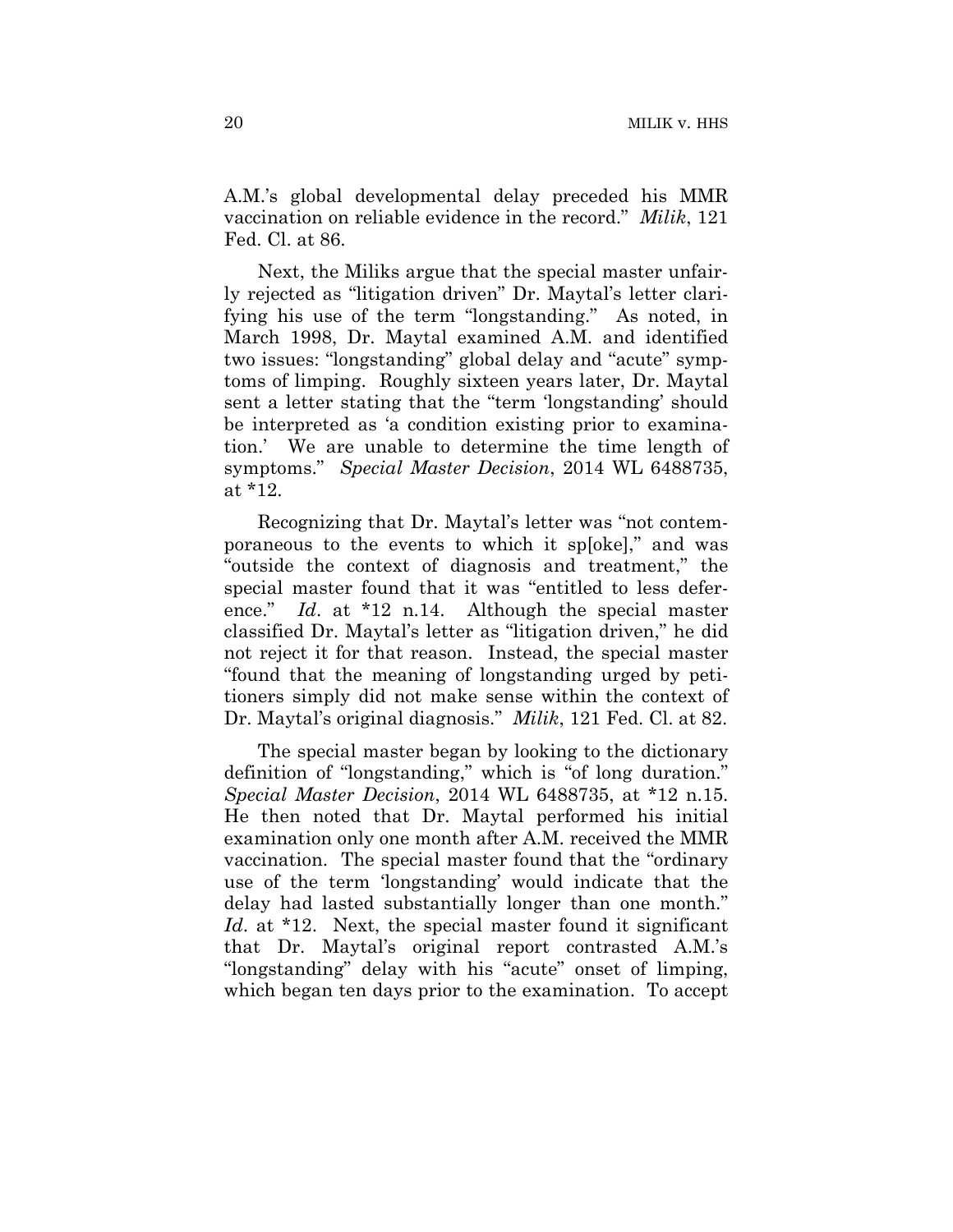A.M.'s global developmental delay preceded his MMR vaccination on reliable evidence in the record." *Milik*, 121 Fed. Cl. at 86.

Next, the Miliks argue that the special master unfairly rejected as "litigation driven" Dr. Maytal's letter clarifying his use of the term "longstanding." As noted, in March 1998, Dr. Maytal examined A.M. and identified two issues: "longstanding" global delay and "acute" symptoms of limping. Roughly sixteen years later, Dr. Maytal sent a letter stating that the "term 'longstanding' should be interpreted as 'a condition existing prior to examination.' We are unable to determine the time length of symptoms." *Special Master Decision*, 2014 WL 6488735, at \*12.

Recognizing that Dr. Maytal's letter was "not contemporaneous to the events to which it sp[oke]," and was "outside the context of diagnosis and treatment," the special master found that it was "entitled to less deference." *Id*. at \*12 n.14. Although the special master classified Dr. Maytal's letter as "litigation driven," he did not reject it for that reason. Instead, the special master "found that the meaning of longstanding urged by petitioners simply did not make sense within the context of Dr. Maytal's original diagnosis." *Milik*, 121 Fed. Cl. at 82.

The special master began by looking to the dictionary definition of "longstanding," which is "of long duration." *Special Master Decision*, 2014 WL 6488735, at \*12 n.15. He then noted that Dr. Maytal performed his initial examination only one month after A.M. received the MMR vaccination. The special master found that the "ordinary use of the term 'longstanding' would indicate that the delay had lasted substantially longer than one month." *Id*. at \*12. Next, the special master found it significant that Dr. Maytal's original report contrasted A.M.'s "longstanding" delay with his "acute" onset of limping, which began ten days prior to the examination. To accept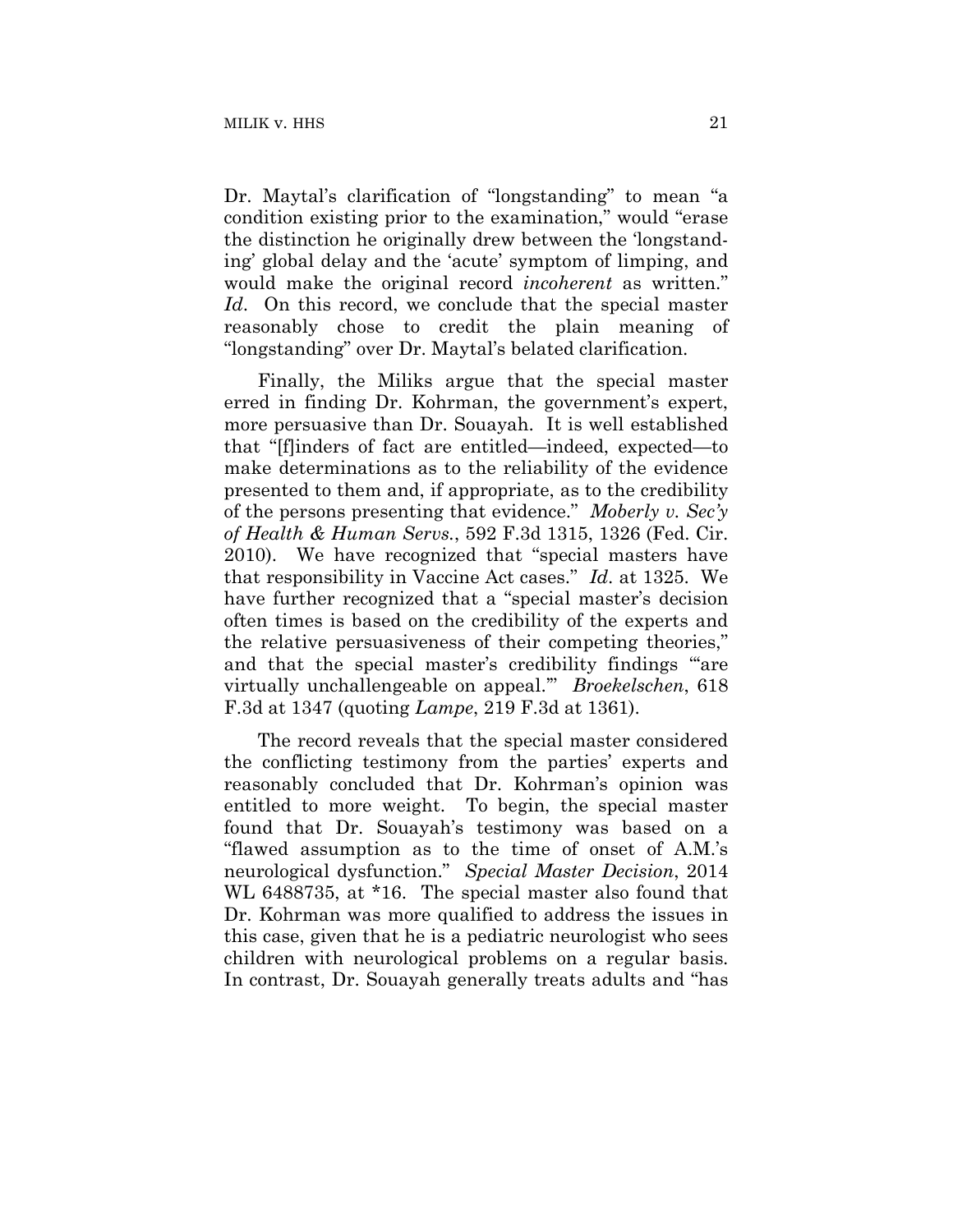Dr. Maytal's clarification of "longstanding" to mean "a condition existing prior to the examination," would "erase the distinction he originally drew between the 'longstanding' global delay and the 'acute' symptom of limping, and would make the original record *incoherent* as written." *Id*. On this record, we conclude that the special master reasonably chose to credit the plain meaning of "longstanding" over Dr. Maytal's belated clarification.

Finally, the Miliks argue that the special master erred in finding Dr. Kohrman, the government's expert, more persuasive than Dr. Souayah. It is well established that "[f]inders of fact are entitled—indeed, expected—to make determinations as to the reliability of the evidence presented to them and, if appropriate, as to the credibility of the persons presenting that evidence." *Moberly v. Sec'y of Health & Human Servs.*, 592 F.3d 1315, 1326 (Fed. Cir. 2010). We have recognized that "special masters have that responsibility in Vaccine Act cases." *Id*. at 1325. We have further recognized that a "special master's decision often times is based on the credibility of the experts and the relative persuasiveness of their competing theories," and that the special master's credibility findings "are virtually unchallengeable on appeal.'" *Broekelschen*, 618 F.3d at 1347 (quoting *Lampe*, 219 F.3d at 1361).

The record reveals that the special master considered the conflicting testimony from the parties' experts and reasonably concluded that Dr. Kohrman's opinion was entitled to more weight. To begin, the special master found that Dr. Souayah's testimony was based on a "flawed assumption as to the time of onset of A.M.'s neurological dysfunction." *Special Master Decision*, 2014 WL 6488735, at \*16. The special master also found that Dr. Kohrman was more qualified to address the issues in this case, given that he is a pediatric neurologist who sees children with neurological problems on a regular basis. In contrast, Dr. Souayah generally treats adults and "has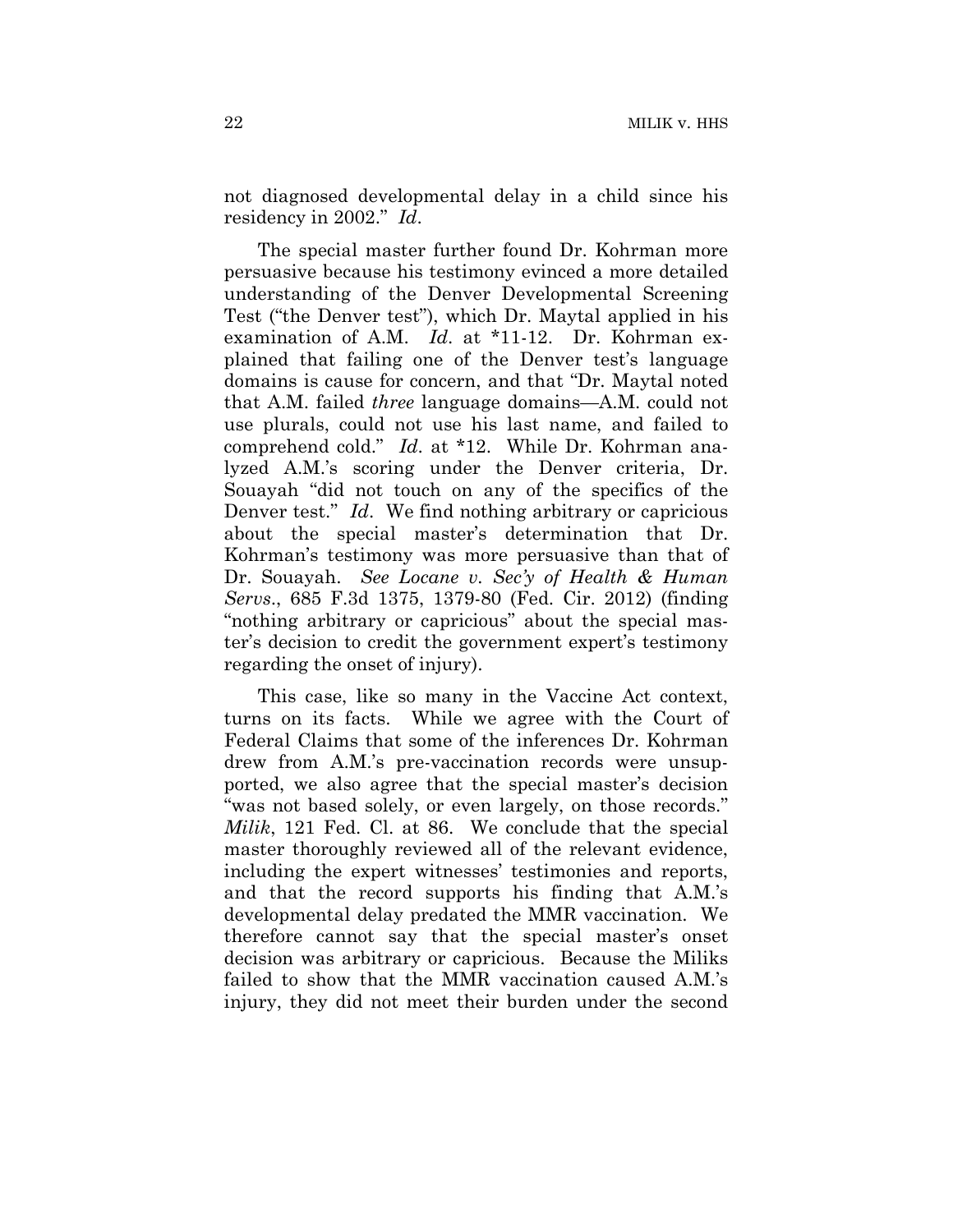not diagnosed developmental delay in a child since his residency in 2002." *Id*.

The special master further found Dr. Kohrman more persuasive because his testimony evinced a more detailed understanding of the Denver Developmental Screening Test ("the Denver test"), which Dr. Maytal applied in his examination of A.M. *Id*. at \*11-12. Dr. Kohrman explained that failing one of the Denver test's language domains is cause for concern, and that "Dr. Maytal noted that A.M. failed *three* language domains—A.M. could not use plurals, could not use his last name, and failed to comprehend cold." *Id*. at \*12. While Dr. Kohrman analyzed A.M.'s scoring under the Denver criteria, Dr. Souayah "did not touch on any of the specifics of the Denver test." *Id*. We find nothing arbitrary or capricious about the special master's determination that Dr. Kohrman's testimony was more persuasive than that of Dr. Souayah. *See Locane v. Sec'y of Health & Human Servs*., 685 F.3d 1375, 1379-80 (Fed. Cir. 2012) (finding "nothing arbitrary or capricious" about the special master's decision to credit the government expert's testimony regarding the onset of injury).

This case, like so many in the Vaccine Act context, turns on its facts. While we agree with the Court of Federal Claims that some of the inferences Dr. Kohrman drew from A.M.'s pre-vaccination records were unsupported, we also agree that the special master's decision "was not based solely, or even largely, on those records." *Milik*, 121 Fed. Cl. at 86. We conclude that the special master thoroughly reviewed all of the relevant evidence, including the expert witnesses' testimonies and reports, and that the record supports his finding that A.M.'s developmental delay predated the MMR vaccination. We therefore cannot say that the special master's onset decision was arbitrary or capricious. Because the Miliks failed to show that the MMR vaccination caused A.M.'s injury, they did not meet their burden under the second